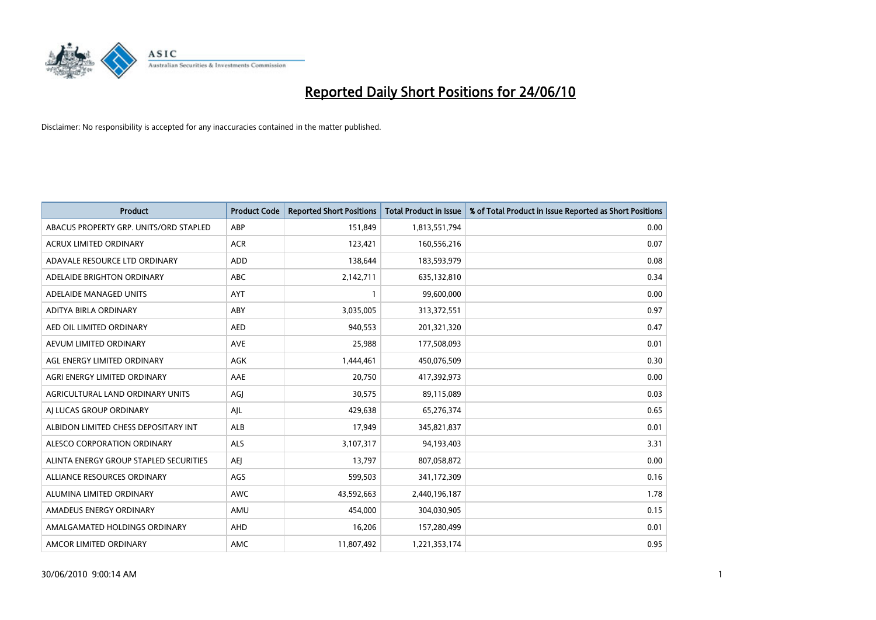

| <b>Product</b>                         | <b>Product Code</b> | <b>Reported Short Positions</b> | <b>Total Product in Issue</b> | % of Total Product in Issue Reported as Short Positions |
|----------------------------------------|---------------------|---------------------------------|-------------------------------|---------------------------------------------------------|
| ABACUS PROPERTY GRP. UNITS/ORD STAPLED | ABP                 | 151,849                         | 1,813,551,794                 | 0.00                                                    |
| <b>ACRUX LIMITED ORDINARY</b>          | <b>ACR</b>          | 123,421                         | 160,556,216                   | 0.07                                                    |
| ADAVALE RESOURCE LTD ORDINARY          | ADD                 | 138,644                         | 183,593,979                   | 0.08                                                    |
| ADELAIDE BRIGHTON ORDINARY             | <b>ABC</b>          | 2,142,711                       | 635,132,810                   | 0.34                                                    |
| ADELAIDE MANAGED UNITS                 | <b>AYT</b>          |                                 | 99,600,000                    | 0.00                                                    |
| ADITYA BIRLA ORDINARY                  | ABY                 | 3,035,005                       | 313,372,551                   | 0.97                                                    |
| AED OIL LIMITED ORDINARY               | <b>AED</b>          | 940.553                         | 201,321,320                   | 0.47                                                    |
| AEVUM LIMITED ORDINARY                 | <b>AVE</b>          | 25,988                          | 177,508,093                   | 0.01                                                    |
| AGL ENERGY LIMITED ORDINARY            | <b>AGK</b>          | 1,444,461                       | 450,076,509                   | 0.30                                                    |
| AGRI ENERGY LIMITED ORDINARY           | AAE                 | 20,750                          | 417,392,973                   | 0.00                                                    |
| AGRICULTURAL LAND ORDINARY UNITS       | AGJ                 | 30,575                          | 89,115,089                    | 0.03                                                    |
| AI LUCAS GROUP ORDINARY                | AJL                 | 429,638                         | 65,276,374                    | 0.65                                                    |
| ALBIDON LIMITED CHESS DEPOSITARY INT   | <b>ALB</b>          | 17,949                          | 345,821,837                   | 0.01                                                    |
| ALESCO CORPORATION ORDINARY            | <b>ALS</b>          | 3,107,317                       | 94,193,403                    | 3.31                                                    |
| ALINTA ENERGY GROUP STAPLED SECURITIES | <b>AEI</b>          | 13,797                          | 807,058,872                   | 0.00                                                    |
| ALLIANCE RESOURCES ORDINARY            | AGS                 | 599,503                         | 341,172,309                   | 0.16                                                    |
| ALUMINA LIMITED ORDINARY               | <b>AWC</b>          | 43,592,663                      | 2,440,196,187                 | 1.78                                                    |
| AMADEUS ENERGY ORDINARY                | AMU                 | 454,000                         | 304,030,905                   | 0.15                                                    |
| AMALGAMATED HOLDINGS ORDINARY          | AHD                 | 16,206                          | 157,280,499                   | 0.01                                                    |
| AMCOR LIMITED ORDINARY                 | AMC                 | 11,807,492                      | 1,221,353,174                 | 0.95                                                    |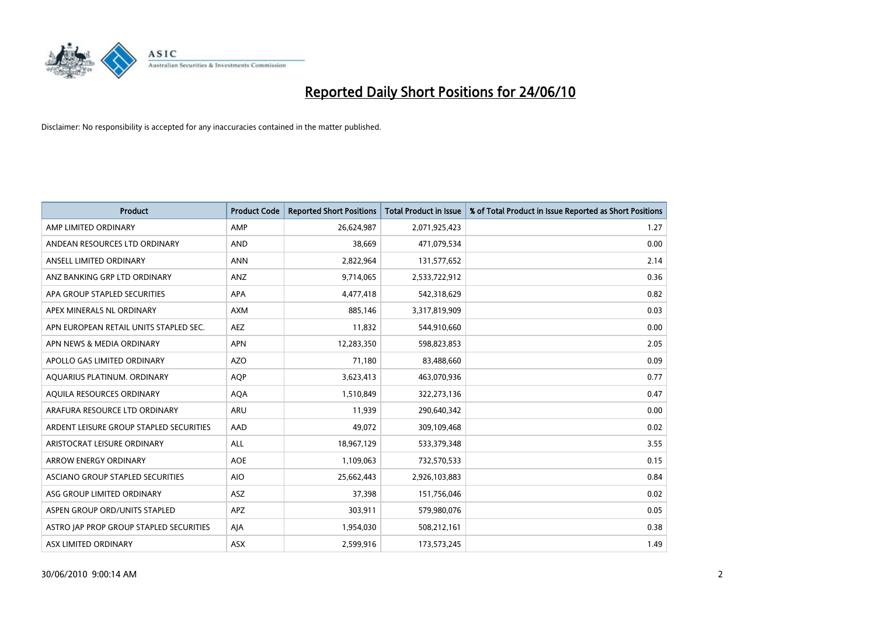

| <b>Product</b>                          | <b>Product Code</b> | <b>Reported Short Positions</b> | Total Product in Issue | % of Total Product in Issue Reported as Short Positions |
|-----------------------------------------|---------------------|---------------------------------|------------------------|---------------------------------------------------------|
| AMP LIMITED ORDINARY                    | AMP                 | 26,624,987                      | 2,071,925,423          | 1.27                                                    |
| ANDEAN RESOURCES LTD ORDINARY           | <b>AND</b>          | 38,669                          | 471,079,534            | 0.00                                                    |
| ANSELL LIMITED ORDINARY                 | <b>ANN</b>          | 2,822,964                       | 131,577,652            | 2.14                                                    |
| ANZ BANKING GRP LTD ORDINARY            | ANZ                 | 9,714,065                       | 2,533,722,912          | 0.36                                                    |
| APA GROUP STAPLED SECURITIES            | <b>APA</b>          | 4,477,418                       | 542,318,629            | 0.82                                                    |
| APEX MINERALS NL ORDINARY               | <b>AXM</b>          | 885,146                         | 3,317,819,909          | 0.03                                                    |
| APN EUROPEAN RETAIL UNITS STAPLED SEC.  | <b>AEZ</b>          | 11,832                          | 544,910,660            | 0.00                                                    |
| APN NEWS & MEDIA ORDINARY               | <b>APN</b>          | 12,283,350                      | 598,823,853            | 2.05                                                    |
| APOLLO GAS LIMITED ORDINARY             | <b>AZO</b>          | 71,180                          | 83,488,660             | 0.09                                                    |
| AQUARIUS PLATINUM. ORDINARY             | <b>AOP</b>          | 3,623,413                       | 463,070,936            | 0.77                                                    |
| AQUILA RESOURCES ORDINARY               | <b>AQA</b>          | 1,510,849                       | 322,273,136            | 0.47                                                    |
| ARAFURA RESOURCE LTD ORDINARY           | ARU                 | 11,939                          | 290,640,342            | 0.00                                                    |
| ARDENT LEISURE GROUP STAPLED SECURITIES | AAD                 | 49,072                          | 309,109,468            | 0.02                                                    |
| ARISTOCRAT LEISURE ORDINARY             | <b>ALL</b>          | 18,967,129                      | 533,379,348            | 3.55                                                    |
| <b>ARROW ENERGY ORDINARY</b>            | <b>AOE</b>          | 1,109,063                       | 732,570,533            | 0.15                                                    |
| ASCIANO GROUP STAPLED SECURITIES        | <b>AIO</b>          | 25,662,443                      | 2,926,103,883          | 0.84                                                    |
| ASG GROUP LIMITED ORDINARY              | ASZ                 | 37,398                          | 151,756,046            | 0.02                                                    |
| ASPEN GROUP ORD/UNITS STAPLED           | <b>APZ</b>          | 303,911                         | 579,980,076            | 0.05                                                    |
| ASTRO JAP PROP GROUP STAPLED SECURITIES | AJA                 | 1,954,030                       | 508,212,161            | 0.38                                                    |
| ASX LIMITED ORDINARY                    | <b>ASX</b>          | 2,599,916                       | 173,573,245            | 1.49                                                    |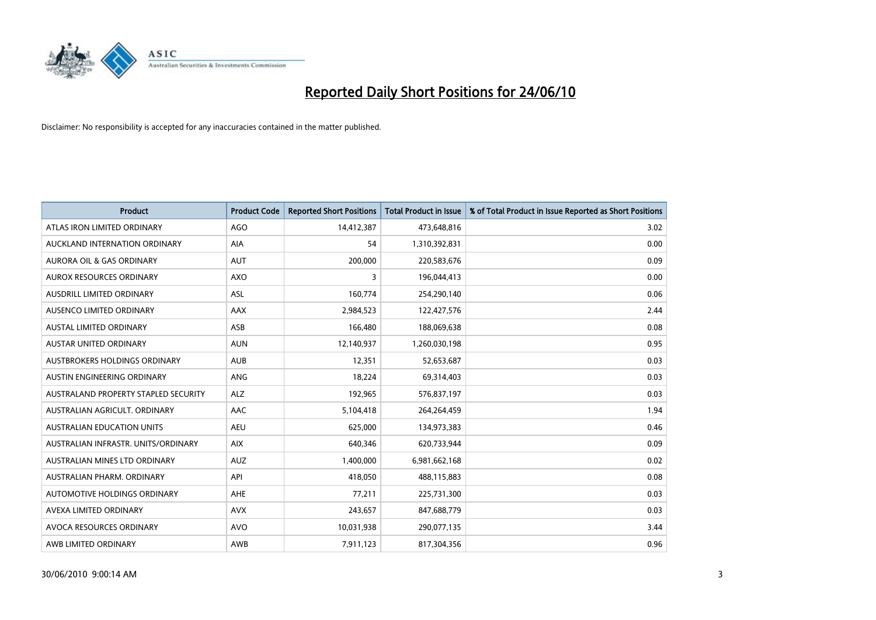

| <b>Product</b>                       | <b>Product Code</b> | <b>Reported Short Positions</b> | Total Product in Issue | % of Total Product in Issue Reported as Short Positions |
|--------------------------------------|---------------------|---------------------------------|------------------------|---------------------------------------------------------|
| ATLAS IRON LIMITED ORDINARY          | <b>AGO</b>          | 14,412,387                      | 473,648,816            | 3.02                                                    |
| AUCKLAND INTERNATION ORDINARY        | AIA                 | 54                              | 1,310,392,831          | 0.00                                                    |
| <b>AURORA OIL &amp; GAS ORDINARY</b> | <b>AUT</b>          | 200,000                         | 220,583,676            | 0.09                                                    |
| AUROX RESOURCES ORDINARY             | <b>AXO</b>          | 3                               | 196,044,413            | 0.00                                                    |
| AUSDRILL LIMITED ORDINARY            | <b>ASL</b>          | 160,774                         | 254,290,140            | 0.06                                                    |
| AUSENCO LIMITED ORDINARY             | AAX                 | 2,984,523                       | 122,427,576            | 2.44                                                    |
| AUSTAL LIMITED ORDINARY              | ASB                 | 166,480                         | 188,069,638            | 0.08                                                    |
| AUSTAR UNITED ORDINARY               | <b>AUN</b>          | 12,140,937                      | 1,260,030,198          | 0.95                                                    |
| AUSTBROKERS HOLDINGS ORDINARY        | <b>AUB</b>          | 12,351                          | 52,653,687             | 0.03                                                    |
| AUSTIN ENGINEERING ORDINARY          | ANG                 | 18,224                          | 69,314,403             | 0.03                                                    |
| AUSTRALAND PROPERTY STAPLED SECURITY | <b>ALZ</b>          | 192,965                         | 576,837,197            | 0.03                                                    |
| AUSTRALIAN AGRICULT, ORDINARY        | AAC                 | 5,104,418                       | 264,264,459            | 1.94                                                    |
| AUSTRALIAN EDUCATION UNITS           | <b>AEU</b>          | 625,000                         | 134,973,383            | 0.46                                                    |
| AUSTRALIAN INFRASTR. UNITS/ORDINARY  | <b>AIX</b>          | 640,346                         | 620,733,944            | 0.09                                                    |
| AUSTRALIAN MINES LTD ORDINARY        | <b>AUZ</b>          | 1,400,000                       | 6,981,662,168          | 0.02                                                    |
| AUSTRALIAN PHARM. ORDINARY           | API                 | 418,050                         | 488,115,883            | 0.08                                                    |
| AUTOMOTIVE HOLDINGS ORDINARY         | AHE                 | 77,211                          | 225,731,300            | 0.03                                                    |
| AVEXA LIMITED ORDINARY               | <b>AVX</b>          | 243,657                         | 847,688,779            | 0.03                                                    |
| AVOCA RESOURCES ORDINARY             | <b>AVO</b>          | 10,031,938                      | 290,077,135            | 3.44                                                    |
| AWB LIMITED ORDINARY                 | AWB                 | 7,911,123                       | 817,304,356            | 0.96                                                    |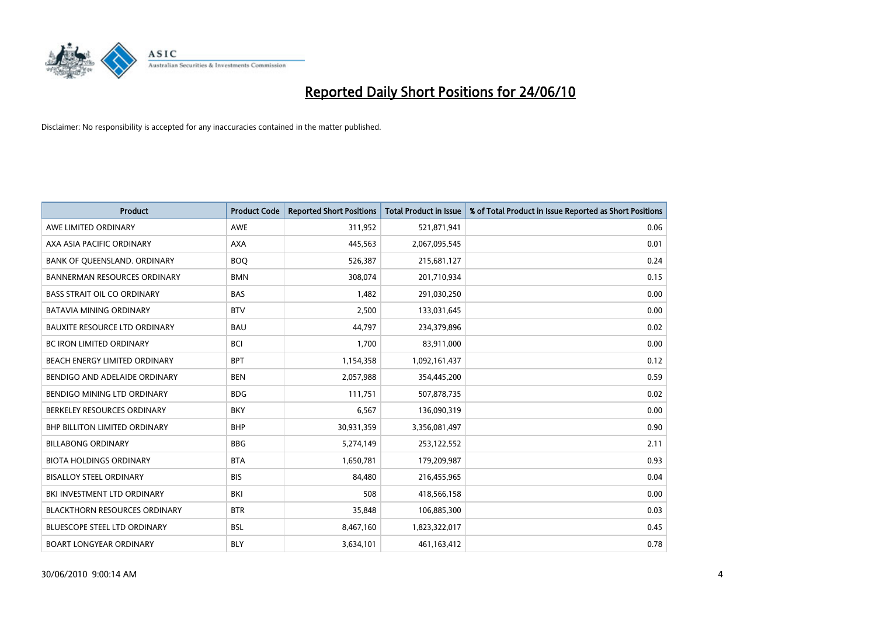

| <b>Product</b>                       | <b>Product Code</b> | <b>Reported Short Positions</b> | <b>Total Product in Issue</b> | % of Total Product in Issue Reported as Short Positions |
|--------------------------------------|---------------------|---------------------------------|-------------------------------|---------------------------------------------------------|
| AWE LIMITED ORDINARY                 | <b>AWE</b>          | 311,952                         | 521,871,941                   | 0.06                                                    |
| AXA ASIA PACIFIC ORDINARY            | <b>AXA</b>          | 445,563                         | 2,067,095,545                 | 0.01                                                    |
| BANK OF QUEENSLAND. ORDINARY         | <b>BOO</b>          | 526,387                         | 215,681,127                   | 0.24                                                    |
| <b>BANNERMAN RESOURCES ORDINARY</b>  | <b>BMN</b>          | 308,074                         | 201,710,934                   | 0.15                                                    |
| <b>BASS STRAIT OIL CO ORDINARY</b>   | <b>BAS</b>          | 1,482                           | 291,030,250                   | 0.00                                                    |
| <b>BATAVIA MINING ORDINARY</b>       | <b>BTV</b>          | 2,500                           | 133,031,645                   | 0.00                                                    |
| <b>BAUXITE RESOURCE LTD ORDINARY</b> | <b>BAU</b>          | 44,797                          | 234,379,896                   | 0.02                                                    |
| <b>BC IRON LIMITED ORDINARY</b>      | <b>BCI</b>          | 1,700                           | 83,911,000                    | 0.00                                                    |
| BEACH ENERGY LIMITED ORDINARY        | <b>BPT</b>          | 1,154,358                       | 1,092,161,437                 | 0.12                                                    |
| BENDIGO AND ADELAIDE ORDINARY        | <b>BEN</b>          | 2,057,988                       | 354,445,200                   | 0.59                                                    |
| BENDIGO MINING LTD ORDINARY          | <b>BDG</b>          | 111,751                         | 507,878,735                   | 0.02                                                    |
| BERKELEY RESOURCES ORDINARY          | <b>BKY</b>          | 6,567                           | 136,090,319                   | 0.00                                                    |
| <b>BHP BILLITON LIMITED ORDINARY</b> | <b>BHP</b>          | 30,931,359                      | 3,356,081,497                 | 0.90                                                    |
| <b>BILLABONG ORDINARY</b>            | <b>BBG</b>          | 5,274,149                       | 253,122,552                   | 2.11                                                    |
| <b>BIOTA HOLDINGS ORDINARY</b>       | <b>BTA</b>          | 1,650,781                       | 179,209,987                   | 0.93                                                    |
| <b>BISALLOY STEEL ORDINARY</b>       | <b>BIS</b>          | 84.480                          | 216,455,965                   | 0.04                                                    |
| BKI INVESTMENT LTD ORDINARY          | <b>BKI</b>          | 508                             | 418,566,158                   | 0.00                                                    |
| <b>BLACKTHORN RESOURCES ORDINARY</b> | <b>BTR</b>          | 35,848                          | 106,885,300                   | 0.03                                                    |
| <b>BLUESCOPE STEEL LTD ORDINARY</b>  | <b>BSL</b>          | 8,467,160                       | 1,823,322,017                 | 0.45                                                    |
| <b>BOART LONGYEAR ORDINARY</b>       | <b>BLY</b>          | 3,634,101                       | 461,163,412                   | 0.78                                                    |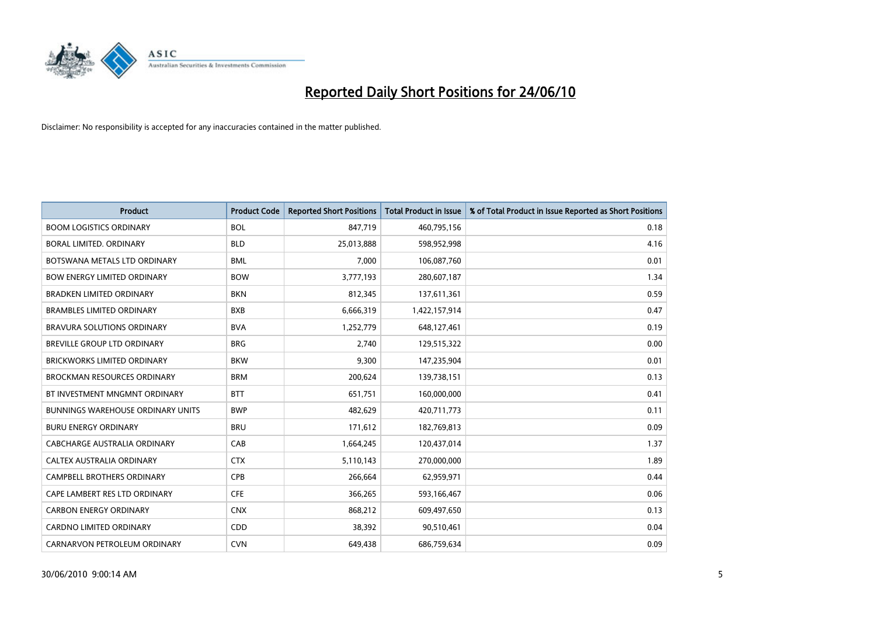

| <b>Product</b>                           | <b>Product Code</b> | <b>Reported Short Positions</b> | <b>Total Product in Issue</b> | % of Total Product in Issue Reported as Short Positions |
|------------------------------------------|---------------------|---------------------------------|-------------------------------|---------------------------------------------------------|
| <b>BOOM LOGISTICS ORDINARY</b>           | <b>BOL</b>          | 847,719                         | 460,795,156                   | 0.18                                                    |
| BORAL LIMITED. ORDINARY                  | <b>BLD</b>          | 25,013,888                      | 598,952,998                   | 4.16                                                    |
| BOTSWANA METALS LTD ORDINARY             | <b>BML</b>          | 7.000                           | 106,087,760                   | 0.01                                                    |
| <b>BOW ENERGY LIMITED ORDINARY</b>       | <b>BOW</b>          | 3,777,193                       | 280,607,187                   | 1.34                                                    |
| <b>BRADKEN LIMITED ORDINARY</b>          | <b>BKN</b>          | 812,345                         | 137,611,361                   | 0.59                                                    |
| <b>BRAMBLES LIMITED ORDINARY</b>         | <b>BXB</b>          | 6,666,319                       | 1,422,157,914                 | 0.47                                                    |
| <b>BRAVURA SOLUTIONS ORDINARY</b>        | <b>BVA</b>          | 1,252,779                       | 648,127,461                   | 0.19                                                    |
| BREVILLE GROUP LTD ORDINARY              | <b>BRG</b>          | 2,740                           | 129,515,322                   | 0.00                                                    |
| <b>BRICKWORKS LIMITED ORDINARY</b>       | <b>BKW</b>          | 9.300                           | 147,235,904                   | 0.01                                                    |
| <b>BROCKMAN RESOURCES ORDINARY</b>       | <b>BRM</b>          | 200,624                         | 139,738,151                   | 0.13                                                    |
| BT INVESTMENT MNGMNT ORDINARY            | <b>BTT</b>          | 651,751                         | 160,000,000                   | 0.41                                                    |
| <b>BUNNINGS WAREHOUSE ORDINARY UNITS</b> | <b>BWP</b>          | 482,629                         | 420,711,773                   | 0.11                                                    |
| <b>BURU ENERGY ORDINARY</b>              | <b>BRU</b>          | 171,612                         | 182,769,813                   | 0.09                                                    |
| CABCHARGE AUSTRALIA ORDINARY             | CAB                 | 1,664,245                       | 120,437,014                   | 1.37                                                    |
| <b>CALTEX AUSTRALIA ORDINARY</b>         | <b>CTX</b>          | 5,110,143                       | 270,000,000                   | 1.89                                                    |
| CAMPBELL BROTHERS ORDINARY               | <b>CPB</b>          | 266,664                         | 62,959,971                    | 0.44                                                    |
| CAPE LAMBERT RES LTD ORDINARY            | <b>CFE</b>          | 366,265                         | 593,166,467                   | 0.06                                                    |
| <b>CARBON ENERGY ORDINARY</b>            | <b>CNX</b>          | 868,212                         | 609,497,650                   | 0.13                                                    |
| <b>CARDNO LIMITED ORDINARY</b>           | CDD                 | 38,392                          | 90,510,461                    | 0.04                                                    |
| CARNARVON PETROLEUM ORDINARY             | <b>CVN</b>          | 649,438                         | 686,759,634                   | 0.09                                                    |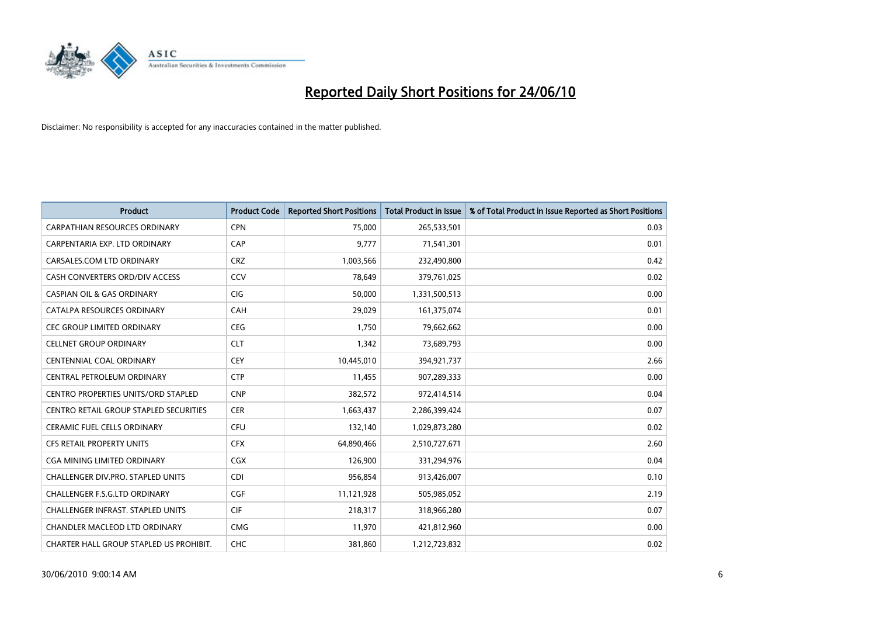

| <b>Product</b>                                | <b>Product Code</b> | <b>Reported Short Positions</b> | Total Product in Issue | % of Total Product in Issue Reported as Short Positions |
|-----------------------------------------------|---------------------|---------------------------------|------------------------|---------------------------------------------------------|
| <b>CARPATHIAN RESOURCES ORDINARY</b>          | <b>CPN</b>          | 75.000                          | 265,533,501            | 0.03                                                    |
| CARPENTARIA EXP. LTD ORDINARY                 | CAP                 | 9,777                           | 71,541,301             | 0.01                                                    |
| CARSALES.COM LTD ORDINARY                     | <b>CRZ</b>          | 1,003,566                       | 232,490,800            | 0.42                                                    |
| CASH CONVERTERS ORD/DIV ACCESS                | CCV                 | 78,649                          | 379,761,025            | 0.02                                                    |
| <b>CASPIAN OIL &amp; GAS ORDINARY</b>         | CIG                 | 50,000                          | 1,331,500,513          | 0.00                                                    |
| CATALPA RESOURCES ORDINARY                    | CAH                 | 29,029                          | 161,375,074            | 0.01                                                    |
| <b>CEC GROUP LIMITED ORDINARY</b>             | <b>CEG</b>          | 1,750                           | 79,662,662             | 0.00                                                    |
| <b>CELLNET GROUP ORDINARY</b>                 | <b>CLT</b>          | 1,342                           | 73,689,793             | 0.00                                                    |
| <b>CENTENNIAL COAL ORDINARY</b>               | <b>CEY</b>          | 10,445,010                      | 394,921,737            | 2.66                                                    |
| CENTRAL PETROLEUM ORDINARY                    | <b>CTP</b>          | 11,455                          | 907,289,333            | 0.00                                                    |
| CENTRO PROPERTIES UNITS/ORD STAPLED           | <b>CNP</b>          | 382,572                         | 972,414,514            | 0.04                                                    |
| <b>CENTRO RETAIL GROUP STAPLED SECURITIES</b> | <b>CER</b>          | 1,663,437                       | 2,286,399,424          | 0.07                                                    |
| CERAMIC FUEL CELLS ORDINARY                   | <b>CFU</b>          | 132,140                         | 1,029,873,280          | 0.02                                                    |
| <b>CFS RETAIL PROPERTY UNITS</b>              | <b>CFX</b>          | 64,890,466                      | 2,510,727,671          | 2.60                                                    |
| <b>CGA MINING LIMITED ORDINARY</b>            | <b>CGX</b>          | 126,900                         | 331,294,976            | 0.04                                                    |
| <b>CHALLENGER DIV.PRO. STAPLED UNITS</b>      | <b>CDI</b>          | 956,854                         | 913,426,007            | 0.10                                                    |
| CHALLENGER F.S.G.LTD ORDINARY                 | CGF                 | 11,121,928                      | 505,985,052            | 2.19                                                    |
| CHALLENGER INFRAST. STAPLED UNITS             | <b>CIF</b>          | 218,317                         | 318,966,280            | 0.07                                                    |
| <b>CHANDLER MACLEOD LTD ORDINARY</b>          | <b>CMG</b>          | 11,970                          | 421,812,960            | 0.00                                                    |
| CHARTER HALL GROUP STAPLED US PROHIBIT.       | <b>CHC</b>          | 381,860                         | 1,212,723,832          | 0.02                                                    |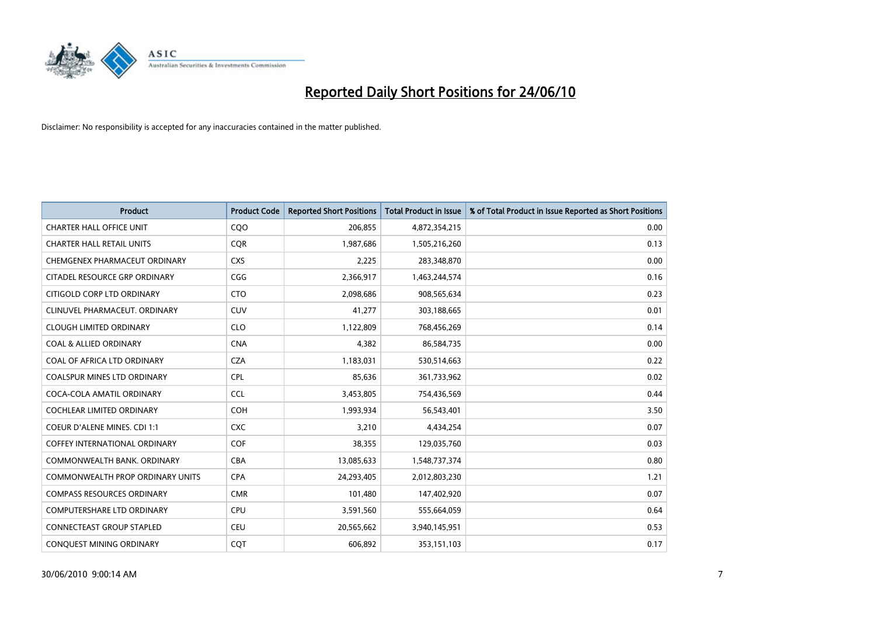

| <b>Product</b>                          | <b>Product Code</b> | <b>Reported Short Positions</b> | <b>Total Product in Issue</b> | % of Total Product in Issue Reported as Short Positions |
|-----------------------------------------|---------------------|---------------------------------|-------------------------------|---------------------------------------------------------|
| <b>CHARTER HALL OFFICE UNIT</b>         | CQO                 | 206,855                         | 4,872,354,215                 | 0.00                                                    |
| <b>CHARTER HALL RETAIL UNITS</b>        | <b>COR</b>          | 1,987,686                       | 1,505,216,260                 | 0.13                                                    |
| CHEMGENEX PHARMACEUT ORDINARY           | <b>CXS</b>          | 2,225                           | 283,348,870                   | 0.00                                                    |
| CITADEL RESOURCE GRP ORDINARY           | CGG                 | 2,366,917                       | 1,463,244,574                 | 0.16                                                    |
| CITIGOLD CORP LTD ORDINARY              | <b>CTO</b>          | 2,098,686                       | 908,565,634                   | 0.23                                                    |
| CLINUVEL PHARMACEUT, ORDINARY           | <b>CUV</b>          | 41,277                          | 303,188,665                   | 0.01                                                    |
| <b>CLOUGH LIMITED ORDINARY</b>          | <b>CLO</b>          | 1,122,809                       | 768,456,269                   | 0.14                                                    |
| <b>COAL &amp; ALLIED ORDINARY</b>       | <b>CNA</b>          | 4,382                           | 86,584,735                    | 0.00                                                    |
| COAL OF AFRICA LTD ORDINARY             | <b>CZA</b>          | 1,183,031                       | 530,514,663                   | 0.22                                                    |
| <b>COALSPUR MINES LTD ORDINARY</b>      | <b>CPL</b>          | 85,636                          | 361,733,962                   | 0.02                                                    |
| COCA-COLA AMATIL ORDINARY               | <b>CCL</b>          | 3,453,805                       | 754,436,569                   | 0.44                                                    |
| <b>COCHLEAR LIMITED ORDINARY</b>        | <b>COH</b>          | 1,993,934                       | 56,543,401                    | 3.50                                                    |
| <b>COEUR D'ALENE MINES. CDI 1:1</b>     | <b>CXC</b>          | 3,210                           | 4,434,254                     | 0.07                                                    |
| COFFEY INTERNATIONAL ORDINARY           | COF                 | 38,355                          | 129,035,760                   | 0.03                                                    |
| COMMONWEALTH BANK, ORDINARY             | CBA                 | 13,085,633                      | 1,548,737,374                 | 0.80                                                    |
| <b>COMMONWEALTH PROP ORDINARY UNITS</b> | <b>CPA</b>          | 24,293,405                      | 2,012,803,230                 | 1.21                                                    |
| <b>COMPASS RESOURCES ORDINARY</b>       | <b>CMR</b>          | 101,480                         | 147,402,920                   | 0.07                                                    |
| COMPUTERSHARE LTD ORDINARY              | CPU                 | 3,591,560                       | 555,664,059                   | 0.64                                                    |
| <b>CONNECTEAST GROUP STAPLED</b>        | <b>CEU</b>          | 20,565,662                      | 3,940,145,951                 | 0.53                                                    |
| CONQUEST MINING ORDINARY                | COT                 | 606,892                         | 353,151,103                   | 0.17                                                    |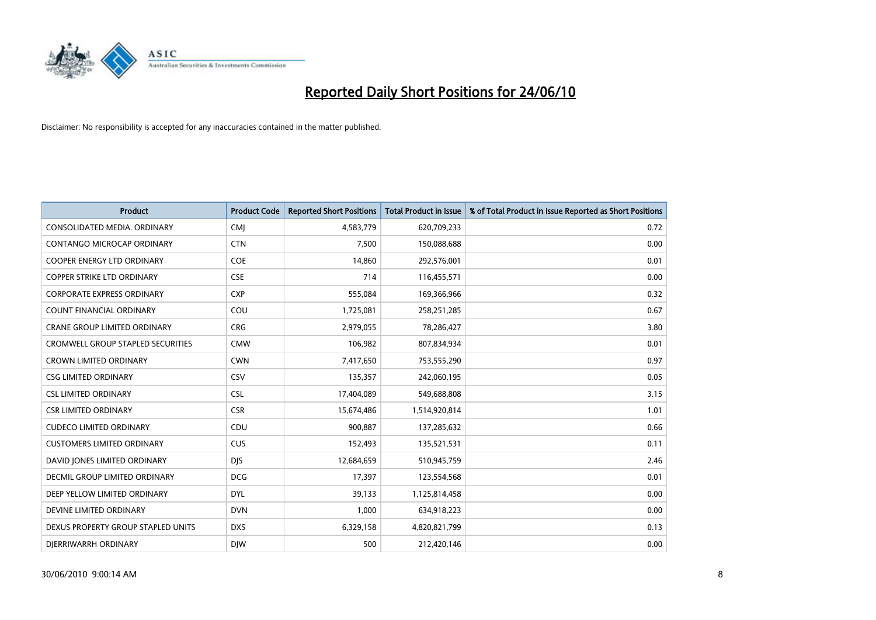

| <b>Product</b>                           | <b>Product Code</b> | <b>Reported Short Positions</b> | <b>Total Product in Issue</b> | % of Total Product in Issue Reported as Short Positions |
|------------------------------------------|---------------------|---------------------------------|-------------------------------|---------------------------------------------------------|
| CONSOLIDATED MEDIA, ORDINARY             | <b>CMJ</b>          | 4,583,779                       | 620,709,233                   | 0.72                                                    |
| CONTANGO MICROCAP ORDINARY               | <b>CTN</b>          | 7,500                           | 150,088,688                   | 0.00                                                    |
| <b>COOPER ENERGY LTD ORDINARY</b>        | <b>COE</b>          | 14,860                          | 292,576,001                   | 0.01                                                    |
| <b>COPPER STRIKE LTD ORDINARY</b>        | <b>CSE</b>          | 714                             | 116,455,571                   | 0.00                                                    |
| <b>CORPORATE EXPRESS ORDINARY</b>        | <b>CXP</b>          | 555,084                         | 169,366,966                   | 0.32                                                    |
| <b>COUNT FINANCIAL ORDINARY</b>          | COU                 | 1,725,081                       | 258,251,285                   | 0.67                                                    |
| <b>CRANE GROUP LIMITED ORDINARY</b>      | <b>CRG</b>          | 2,979,055                       | 78,286,427                    | 3.80                                                    |
| <b>CROMWELL GROUP STAPLED SECURITIES</b> | <b>CMW</b>          | 106,982                         | 807,834,934                   | 0.01                                                    |
| <b>CROWN LIMITED ORDINARY</b>            | <b>CWN</b>          | 7,417,650                       | 753,555,290                   | 0.97                                                    |
| <b>CSG LIMITED ORDINARY</b>              | CSV                 | 135,357                         | 242,060,195                   | 0.05                                                    |
| <b>CSL LIMITED ORDINARY</b>              | <b>CSL</b>          | 17,404,089                      | 549,688,808                   | 3.15                                                    |
| <b>CSR LIMITED ORDINARY</b>              | <b>CSR</b>          | 15,674,486                      | 1,514,920,814                 | 1.01                                                    |
| <b>CUDECO LIMITED ORDINARY</b>           | CDU                 | 900,887                         | 137,285,632                   | 0.66                                                    |
| <b>CUSTOMERS LIMITED ORDINARY</b>        | <b>CUS</b>          | 152,493                         | 135,521,531                   | 0.11                                                    |
| DAVID JONES LIMITED ORDINARY             | <b>DJS</b>          | 12,684,659                      | 510,945,759                   | 2.46                                                    |
| DECMIL GROUP LIMITED ORDINARY            | <b>DCG</b>          | 17,397                          | 123,554,568                   | 0.01                                                    |
| DEEP YELLOW LIMITED ORDINARY             | <b>DYL</b>          | 39,133                          | 1,125,814,458                 | 0.00                                                    |
| DEVINE LIMITED ORDINARY                  | <b>DVN</b>          | 1,000                           | 634,918,223                   | 0.00                                                    |
| DEXUS PROPERTY GROUP STAPLED UNITS       | <b>DXS</b>          | 6,329,158                       | 4,820,821,799                 | 0.13                                                    |
| DIERRIWARRH ORDINARY                     | <b>DIW</b>          | 500                             | 212,420,146                   | 0.00                                                    |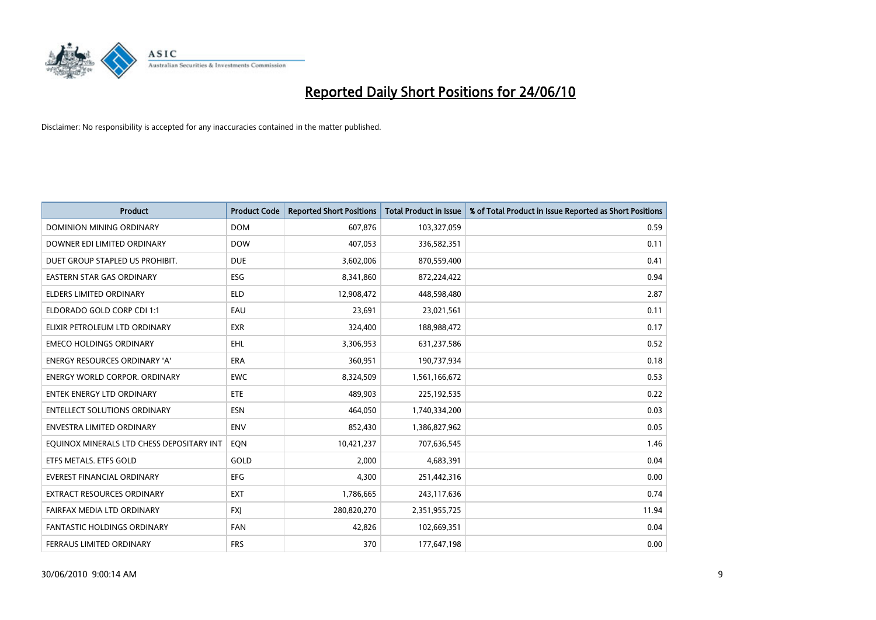

| <b>Product</b>                            | <b>Product Code</b> | <b>Reported Short Positions</b> | <b>Total Product in Issue</b> | % of Total Product in Issue Reported as Short Positions |
|-------------------------------------------|---------------------|---------------------------------|-------------------------------|---------------------------------------------------------|
| <b>DOMINION MINING ORDINARY</b>           | <b>DOM</b>          | 607,876                         | 103,327,059                   | 0.59                                                    |
| DOWNER EDI LIMITED ORDINARY               | <b>DOW</b>          | 407.053                         | 336,582,351                   | 0.11                                                    |
| DUET GROUP STAPLED US PROHIBIT.           | <b>DUE</b>          | 3,602,006                       | 870,559,400                   | 0.41                                                    |
| EASTERN STAR GAS ORDINARY                 | ESG                 | 8,341,860                       | 872,224,422                   | 0.94                                                    |
| <b>ELDERS LIMITED ORDINARY</b>            | <b>ELD</b>          | 12,908,472                      | 448,598,480                   | 2.87                                                    |
| ELDORADO GOLD CORP CDI 1:1                | EAU                 | 23,691                          | 23,021,561                    | 0.11                                                    |
| ELIXIR PETROLEUM LTD ORDINARY             | <b>EXR</b>          | 324,400                         | 188,988,472                   | 0.17                                                    |
| <b>EMECO HOLDINGS ORDINARY</b>            | <b>EHL</b>          | 3,306,953                       | 631,237,586                   | 0.52                                                    |
| ENERGY RESOURCES ORDINARY 'A'             | <b>ERA</b>          | 360,951                         | 190,737,934                   | 0.18                                                    |
| <b>ENERGY WORLD CORPOR, ORDINARY</b>      | <b>EWC</b>          | 8,324,509                       | 1,561,166,672                 | 0.53                                                    |
| <b>ENTEK ENERGY LTD ORDINARY</b>          | <b>ETE</b>          | 489.903                         | 225,192,535                   | 0.22                                                    |
| <b>ENTELLECT SOLUTIONS ORDINARY</b>       | <b>ESN</b>          | 464,050                         | 1,740,334,200                 | 0.03                                                    |
| <b>ENVESTRA LIMITED ORDINARY</b>          | <b>ENV</b>          | 852,430                         | 1,386,827,962                 | 0.05                                                    |
| EQUINOX MINERALS LTD CHESS DEPOSITARY INT | EQN                 | 10,421,237                      | 707,636,545                   | 1.46                                                    |
| ETFS METALS. ETFS GOLD                    | GOLD                | 2,000                           | 4,683,391                     | 0.04                                                    |
| <b>EVEREST FINANCIAL ORDINARY</b>         | <b>EFG</b>          | 4,300                           | 251,442,316                   | 0.00                                                    |
| <b>EXTRACT RESOURCES ORDINARY</b>         | <b>EXT</b>          | 1,786,665                       | 243,117,636                   | 0.74                                                    |
| FAIRFAX MEDIA LTD ORDINARY                | <b>FXI</b>          | 280,820,270                     | 2,351,955,725                 | 11.94                                                   |
| <b>FANTASTIC HOLDINGS ORDINARY</b>        | <b>FAN</b>          | 42,826                          | 102,669,351                   | 0.04                                                    |
| FERRAUS LIMITED ORDINARY                  | <b>FRS</b>          | 370                             | 177,647,198                   | 0.00                                                    |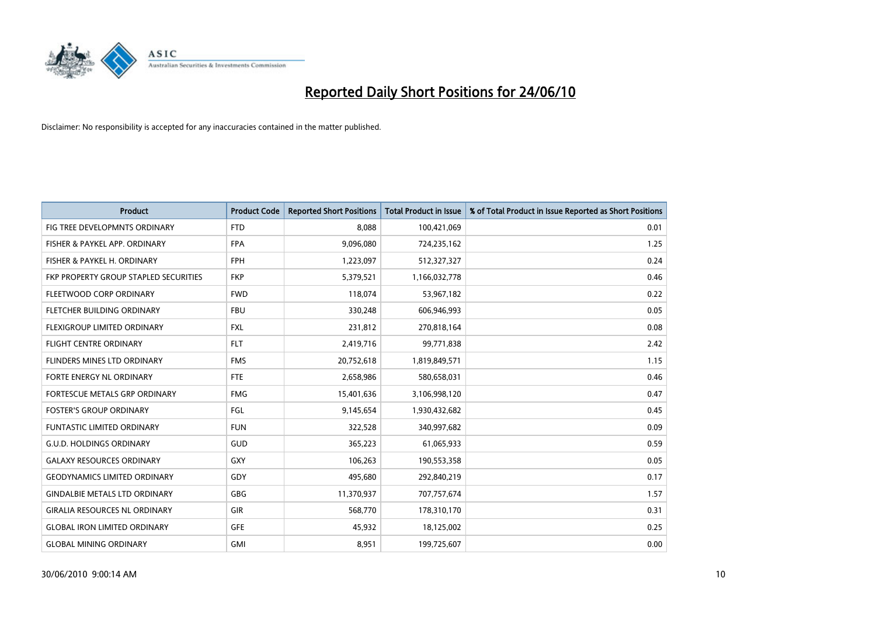

| <b>Product</b>                        | <b>Product Code</b> | <b>Reported Short Positions</b> | <b>Total Product in Issue</b> | % of Total Product in Issue Reported as Short Positions |
|---------------------------------------|---------------------|---------------------------------|-------------------------------|---------------------------------------------------------|
| FIG TREE DEVELOPMNTS ORDINARY         | <b>FTD</b>          | 8.088                           | 100,421,069                   | 0.01                                                    |
| FISHER & PAYKEL APP. ORDINARY         | <b>FPA</b>          | 9,096,080                       | 724,235,162                   | 1.25                                                    |
| FISHER & PAYKEL H. ORDINARY           | <b>FPH</b>          | 1,223,097                       | 512,327,327                   | 0.24                                                    |
| FKP PROPERTY GROUP STAPLED SECURITIES | <b>FKP</b>          | 5,379,521                       | 1,166,032,778                 | 0.46                                                    |
| FLEETWOOD CORP ORDINARY               | <b>FWD</b>          | 118,074                         | 53,967,182                    | 0.22                                                    |
| FLETCHER BUILDING ORDINARY            | <b>FBU</b>          | 330,248                         | 606,946,993                   | 0.05                                                    |
| <b>FLEXIGROUP LIMITED ORDINARY</b>    | <b>FXL</b>          | 231,812                         | 270,818,164                   | 0.08                                                    |
| FLIGHT CENTRE ORDINARY                | <b>FLT</b>          | 2,419,716                       | 99,771,838                    | 2.42                                                    |
| FLINDERS MINES LTD ORDINARY           | <b>FMS</b>          | 20,752,618                      | 1,819,849,571                 | 1.15                                                    |
| FORTE ENERGY NL ORDINARY              | <b>FTE</b>          | 2,658,986                       | 580,658,031                   | 0.46                                                    |
| FORTESCUE METALS GRP ORDINARY         | <b>FMG</b>          | 15,401,636                      | 3,106,998,120                 | 0.47                                                    |
| <b>FOSTER'S GROUP ORDINARY</b>        | FGL                 | 9,145,654                       | 1,930,432,682                 | 0.45                                                    |
| FUNTASTIC LIMITED ORDINARY            | <b>FUN</b>          | 322,528                         | 340,997,682                   | 0.09                                                    |
| <b>G.U.D. HOLDINGS ORDINARY</b>       | GUD                 | 365,223                         | 61,065,933                    | 0.59                                                    |
| <b>GALAXY RESOURCES ORDINARY</b>      | <b>GXY</b>          | 106,263                         | 190,553,358                   | 0.05                                                    |
| <b>GEODYNAMICS LIMITED ORDINARY</b>   | GDY                 | 495,680                         | 292,840,219                   | 0.17                                                    |
| <b>GINDALBIE METALS LTD ORDINARY</b>  | GBG                 | 11,370,937                      | 707,757,674                   | 1.57                                                    |
| <b>GIRALIA RESOURCES NL ORDINARY</b>  | <b>GIR</b>          | 568,770                         | 178,310,170                   | 0.31                                                    |
| <b>GLOBAL IRON LIMITED ORDINARY</b>   | <b>GFE</b>          | 45,932                          | 18,125,002                    | 0.25                                                    |
| <b>GLOBAL MINING ORDINARY</b>         | <b>GMI</b>          | 8,951                           | 199,725,607                   | 0.00                                                    |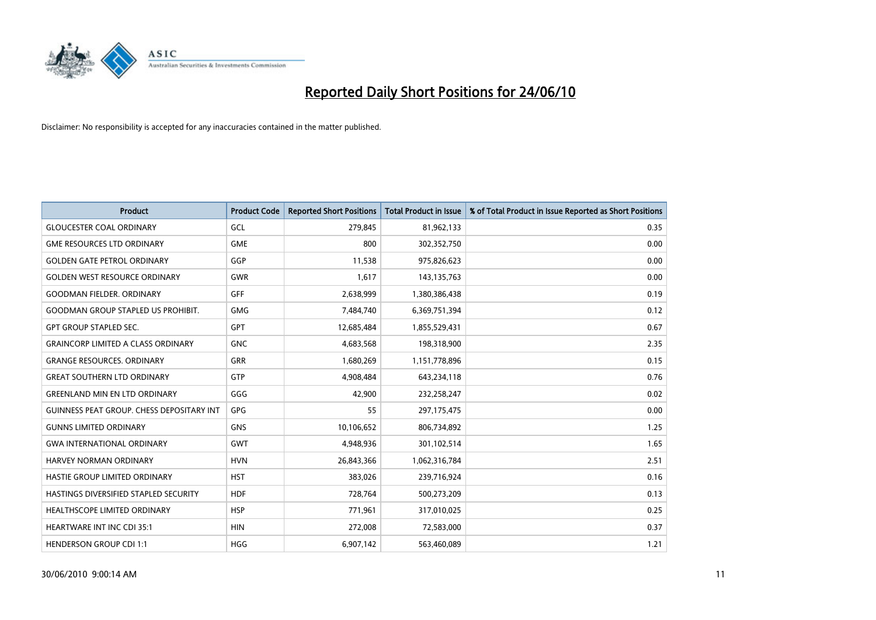

| <b>Product</b>                                   | <b>Product Code</b> | <b>Reported Short Positions</b> | <b>Total Product in Issue</b> | % of Total Product in Issue Reported as Short Positions |
|--------------------------------------------------|---------------------|---------------------------------|-------------------------------|---------------------------------------------------------|
| <b>GLOUCESTER COAL ORDINARY</b>                  | GCL                 | 279,845                         | 81,962,133                    | 0.35                                                    |
| <b>GME RESOURCES LTD ORDINARY</b>                | <b>GME</b>          | 800                             | 302,352,750                   | 0.00                                                    |
| <b>GOLDEN GATE PETROL ORDINARY</b>               | GGP                 | 11,538                          | 975,826,623                   | 0.00                                                    |
| <b>GOLDEN WEST RESOURCE ORDINARY</b>             | <b>GWR</b>          | 1,617                           | 143,135,763                   | 0.00                                                    |
| <b>GOODMAN FIELDER, ORDINARY</b>                 | <b>GFF</b>          | 2,638,999                       | 1,380,386,438                 | 0.19                                                    |
| <b>GOODMAN GROUP STAPLED US PROHIBIT.</b>        | <b>GMG</b>          | 7,484,740                       | 6,369,751,394                 | 0.12                                                    |
| <b>GPT GROUP STAPLED SEC.</b>                    | <b>GPT</b>          | 12,685,484                      | 1,855,529,431                 | 0.67                                                    |
| <b>GRAINCORP LIMITED A CLASS ORDINARY</b>        | <b>GNC</b>          | 4,683,568                       | 198,318,900                   | 2.35                                                    |
| <b>GRANGE RESOURCES. ORDINARY</b>                | <b>GRR</b>          | 1,680,269                       | 1,151,778,896                 | 0.15                                                    |
| <b>GREAT SOUTHERN LTD ORDINARY</b>               | GTP                 | 4,908,484                       | 643,234,118                   | 0.76                                                    |
| <b>GREENLAND MIN EN LTD ORDINARY</b>             | GGG                 | 42,900                          | 232,258,247                   | 0.02                                                    |
| <b>GUINNESS PEAT GROUP. CHESS DEPOSITARY INT</b> | GPG                 | 55                              | 297,175,475                   | 0.00                                                    |
| <b>GUNNS LIMITED ORDINARY</b>                    | <b>GNS</b>          | 10,106,652                      | 806,734,892                   | 1.25                                                    |
| <b>GWA INTERNATIONAL ORDINARY</b>                | <b>GWT</b>          | 4,948,936                       | 301,102,514                   | 1.65                                                    |
| HARVEY NORMAN ORDINARY                           | <b>HVN</b>          | 26,843,366                      | 1,062,316,784                 | 2.51                                                    |
| HASTIE GROUP LIMITED ORDINARY                    | <b>HST</b>          | 383,026                         | 239,716,924                   | 0.16                                                    |
| HASTINGS DIVERSIFIED STAPLED SECURITY            | <b>HDF</b>          | 728,764                         | 500,273,209                   | 0.13                                                    |
| HEALTHSCOPE LIMITED ORDINARY                     | <b>HSP</b>          | 771,961                         | 317,010,025                   | 0.25                                                    |
| <b>HEARTWARE INT INC CDI 35:1</b>                | <b>HIN</b>          | 272,008                         | 72,583,000                    | 0.37                                                    |
| <b>HENDERSON GROUP CDI 1:1</b>                   | <b>HGG</b>          | 6,907,142                       | 563,460,089                   | 1.21                                                    |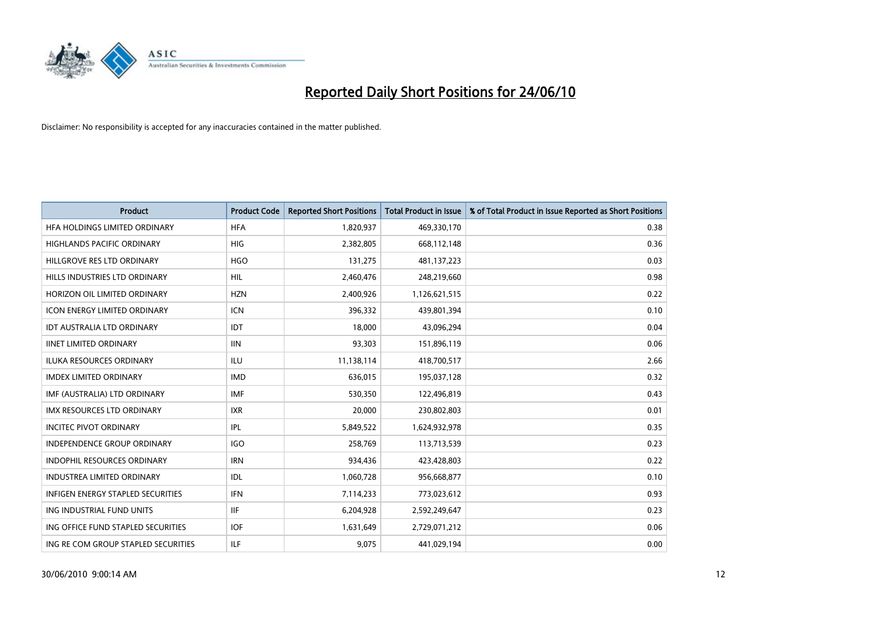

| <b>Product</b>                      | <b>Product Code</b> | <b>Reported Short Positions</b> | <b>Total Product in Issue</b> | % of Total Product in Issue Reported as Short Positions |
|-------------------------------------|---------------------|---------------------------------|-------------------------------|---------------------------------------------------------|
| HFA HOLDINGS LIMITED ORDINARY       | <b>HFA</b>          | 1,820,937                       | 469,330,170                   | 0.38                                                    |
| HIGHLANDS PACIFIC ORDINARY          | <b>HIG</b>          | 2,382,805                       | 668,112,148                   | 0.36                                                    |
| HILLGROVE RES LTD ORDINARY          | <b>HGO</b>          | 131,275                         | 481,137,223                   | 0.03                                                    |
| HILLS INDUSTRIES LTD ORDINARY       | <b>HIL</b>          | 2,460,476                       | 248,219,660                   | 0.98                                                    |
| HORIZON OIL LIMITED ORDINARY        | <b>HZN</b>          | 2,400,926                       | 1,126,621,515                 | 0.22                                                    |
| <b>ICON ENERGY LIMITED ORDINARY</b> | <b>ICN</b>          | 396,332                         | 439,801,394                   | 0.10                                                    |
| <b>IDT AUSTRALIA LTD ORDINARY</b>   | IDT                 | 18,000                          | 43,096,294                    | 0.04                                                    |
| <b>IINET LIMITED ORDINARY</b>       | <b>IIN</b>          | 93,303                          | 151,896,119                   | 0.06                                                    |
| <b>ILUKA RESOURCES ORDINARY</b>     | <b>ILU</b>          | 11,138,114                      | 418,700,517                   | 2.66                                                    |
| <b>IMDEX LIMITED ORDINARY</b>       | <b>IMD</b>          | 636,015                         | 195,037,128                   | 0.32                                                    |
| IMF (AUSTRALIA) LTD ORDINARY        | <b>IMF</b>          | 530,350                         | 122,496,819                   | 0.43                                                    |
| <b>IMX RESOURCES LTD ORDINARY</b>   | <b>IXR</b>          | 20,000                          | 230,802,803                   | 0.01                                                    |
| <b>INCITEC PIVOT ORDINARY</b>       | <b>IPL</b>          | 5,849,522                       | 1,624,932,978                 | 0.35                                                    |
| <b>INDEPENDENCE GROUP ORDINARY</b>  | <b>IGO</b>          | 258,769                         | 113,713,539                   | 0.23                                                    |
| <b>INDOPHIL RESOURCES ORDINARY</b>  | <b>IRN</b>          | 934,436                         | 423,428,803                   | 0.22                                                    |
| <b>INDUSTREA LIMITED ORDINARY</b>   | IDL                 | 1,060,728                       | 956,668,877                   | 0.10                                                    |
| INFIGEN ENERGY STAPLED SECURITIES   | <b>IFN</b>          | 7,114,233                       | 773,023,612                   | 0.93                                                    |
| ING INDUSTRIAL FUND UNITS           | <b>IIF</b>          | 6,204,928                       | 2,592,249,647                 | 0.23                                                    |
| ING OFFICE FUND STAPLED SECURITIES  | <b>IOF</b>          | 1,631,649                       | 2,729,071,212                 | 0.06                                                    |
| ING RE COM GROUP STAPLED SECURITIES | <b>ILF</b>          | 9,075                           | 441,029,194                   | 0.00                                                    |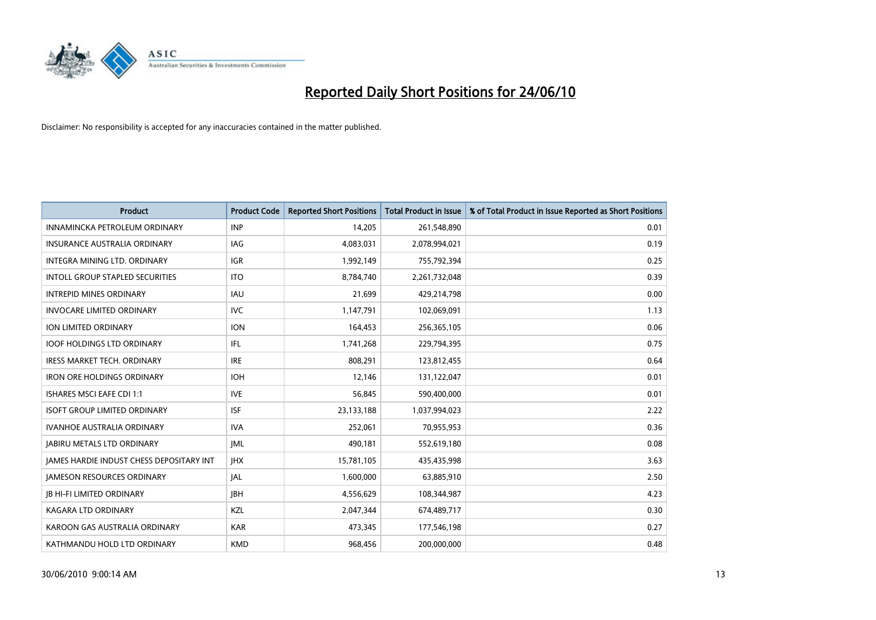

| <b>Product</b>                                  | <b>Product Code</b> | <b>Reported Short Positions</b> | <b>Total Product in Issue</b> | % of Total Product in Issue Reported as Short Positions |
|-------------------------------------------------|---------------------|---------------------------------|-------------------------------|---------------------------------------------------------|
| INNAMINCKA PETROLEUM ORDINARY                   | <b>INP</b>          | 14,205                          | 261,548,890                   | 0.01                                                    |
| INSURANCE AUSTRALIA ORDINARY                    | IAG                 | 4,083,031                       | 2,078,994,021                 | 0.19                                                    |
| <b>INTEGRA MINING LTD, ORDINARY</b>             | <b>IGR</b>          | 1,992,149                       | 755,792,394                   | 0.25                                                    |
| INTOLL GROUP STAPLED SECURITIES                 | <b>ITO</b>          | 8,784,740                       | 2,261,732,048                 | 0.39                                                    |
| <b>INTREPID MINES ORDINARY</b>                  | IAU                 | 21,699                          | 429,214,798                   | 0.00                                                    |
| <b>INVOCARE LIMITED ORDINARY</b>                | <b>IVC</b>          | 1,147,791                       | 102,069,091                   | 1.13                                                    |
| <b>ION LIMITED ORDINARY</b>                     | <b>ION</b>          | 164,453                         | 256,365,105                   | 0.06                                                    |
| <b>IOOF HOLDINGS LTD ORDINARY</b>               | IFL.                | 1,741,268                       | 229,794,395                   | 0.75                                                    |
| <b>IRESS MARKET TECH. ORDINARY</b>              | <b>IRE</b>          | 808,291                         | 123,812,455                   | 0.64                                                    |
| <b>IRON ORE HOLDINGS ORDINARY</b>               | <b>IOH</b>          | 12,146                          | 131,122,047                   | 0.01                                                    |
| ISHARES MSCI EAFE CDI 1:1                       | <b>IVE</b>          | 56,845                          | 590,400,000                   | 0.01                                                    |
| <b>ISOFT GROUP LIMITED ORDINARY</b>             | <b>ISF</b>          | 23,133,188                      | 1,037,994,023                 | 2.22                                                    |
| <b>IVANHOE AUSTRALIA ORDINARY</b>               | <b>IVA</b>          | 252,061                         | 70,955,953                    | 0.36                                                    |
| <b>JABIRU METALS LTD ORDINARY</b>               | <b>IML</b>          | 490,181                         | 552,619,180                   | 0.08                                                    |
| <b>IAMES HARDIE INDUST CHESS DEPOSITARY INT</b> | <b>IHX</b>          | 15,781,105                      | 435,435,998                   | 3.63                                                    |
| <b>JAMESON RESOURCES ORDINARY</b>               | <b>JAL</b>          | 1,600,000                       | 63,885,910                    | 2.50                                                    |
| <b>IB HI-FI LIMITED ORDINARY</b>                | <b>IBH</b>          | 4,556,629                       | 108,344,987                   | 4.23                                                    |
| <b>KAGARA LTD ORDINARY</b>                      | KZL                 | 2,047,344                       | 674,489,717                   | 0.30                                                    |
| KAROON GAS AUSTRALIA ORDINARY                   | <b>KAR</b>          | 473,345                         | 177,546,198                   | 0.27                                                    |
| KATHMANDU HOLD LTD ORDINARY                     | <b>KMD</b>          | 968,456                         | 200,000,000                   | 0.48                                                    |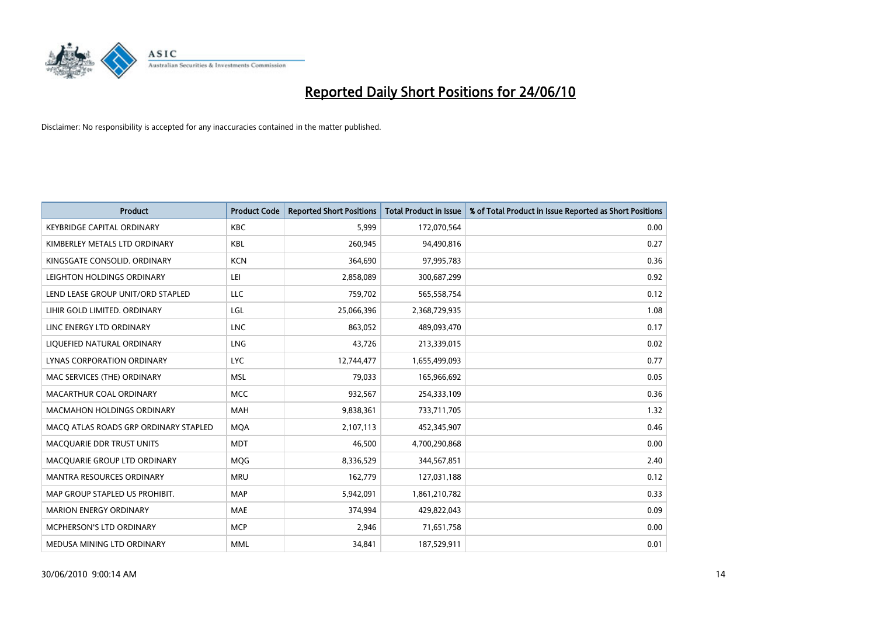

| <b>Product</b>                        | <b>Product Code</b> | <b>Reported Short Positions</b> | Total Product in Issue | % of Total Product in Issue Reported as Short Positions |
|---------------------------------------|---------------------|---------------------------------|------------------------|---------------------------------------------------------|
| <b>KEYBRIDGE CAPITAL ORDINARY</b>     | <b>KBC</b>          | 5,999                           | 172,070,564            | 0.00                                                    |
| KIMBERLEY METALS LTD ORDINARY         | <b>KBL</b>          | 260,945                         | 94,490,816             | 0.27                                                    |
| KINGSGATE CONSOLID, ORDINARY          | <b>KCN</b>          | 364,690                         | 97,995,783             | 0.36                                                    |
| LEIGHTON HOLDINGS ORDINARY            | LEI                 | 2,858,089                       | 300,687,299            | 0.92                                                    |
| LEND LEASE GROUP UNIT/ORD STAPLED     | LLC                 | 759,702                         | 565,558,754            | 0.12                                                    |
| LIHIR GOLD LIMITED. ORDINARY          | LGL                 | 25,066,396                      | 2,368,729,935          | 1.08                                                    |
| LINC ENERGY LTD ORDINARY              | <b>LNC</b>          | 863,052                         | 489,093,470            | 0.17                                                    |
| LIQUEFIED NATURAL ORDINARY            | LNG                 | 43,726                          | 213,339,015            | 0.02                                                    |
| <b>LYNAS CORPORATION ORDINARY</b>     | <b>LYC</b>          | 12,744,477                      | 1,655,499,093          | 0.77                                                    |
| MAC SERVICES (THE) ORDINARY           | <b>MSL</b>          | 79,033                          | 165,966,692            | 0.05                                                    |
| MACARTHUR COAL ORDINARY               | <b>MCC</b>          | 932,567                         | 254,333,109            | 0.36                                                    |
| <b>MACMAHON HOLDINGS ORDINARY</b>     | <b>MAH</b>          | 9,838,361                       | 733,711,705            | 1.32                                                    |
| MACO ATLAS ROADS GRP ORDINARY STAPLED | <b>MOA</b>          | 2,107,113                       | 452,345,907            | 0.46                                                    |
| MACQUARIE DDR TRUST UNITS             | <b>MDT</b>          | 46,500                          | 4,700,290,868          | 0.00                                                    |
| MACQUARIE GROUP LTD ORDINARY          | <b>MOG</b>          | 8,336,529                       | 344,567,851            | 2.40                                                    |
| <b>MANTRA RESOURCES ORDINARY</b>      | <b>MRU</b>          | 162,779                         | 127,031,188            | 0.12                                                    |
| MAP GROUP STAPLED US PROHIBIT.        | <b>MAP</b>          | 5,942,091                       | 1,861,210,782          | 0.33                                                    |
| <b>MARION ENERGY ORDINARY</b>         | <b>MAE</b>          | 374,994                         | 429,822,043            | 0.09                                                    |
| MCPHERSON'S LTD ORDINARY              | <b>MCP</b>          | 2,946                           | 71,651,758             | 0.00                                                    |
| MEDUSA MINING LTD ORDINARY            | <b>MML</b>          | 34,841                          | 187,529,911            | 0.01                                                    |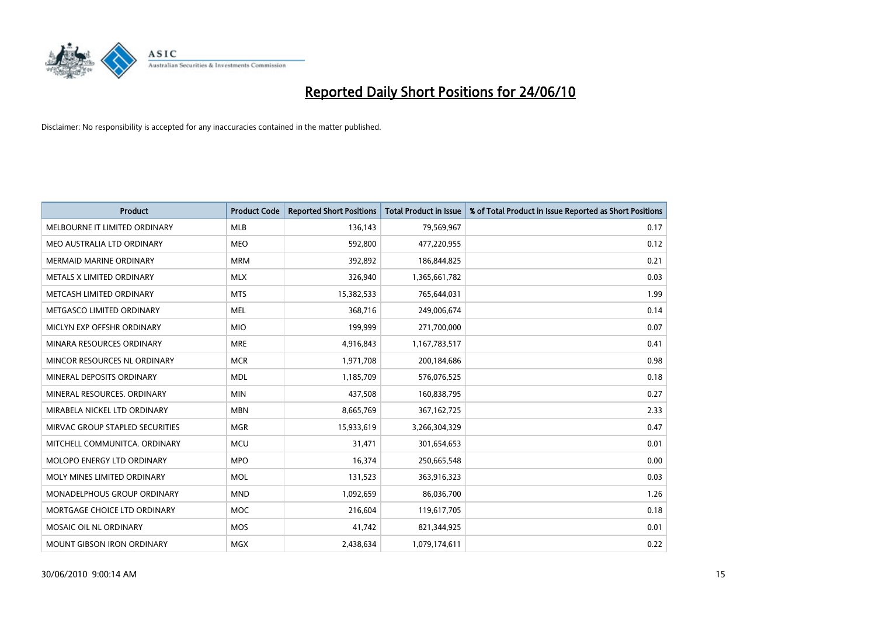

| <b>Product</b>                    | <b>Product Code</b> | <b>Reported Short Positions</b> | <b>Total Product in Issue</b> | % of Total Product in Issue Reported as Short Positions |
|-----------------------------------|---------------------|---------------------------------|-------------------------------|---------------------------------------------------------|
| MELBOURNE IT LIMITED ORDINARY     | <b>MLB</b>          | 136,143                         | 79,569,967                    | 0.17                                                    |
| MEO AUSTRALIA LTD ORDINARY        | <b>MEO</b>          | 592,800                         | 477,220,955                   | 0.12                                                    |
| <b>MERMAID MARINE ORDINARY</b>    | <b>MRM</b>          | 392,892                         | 186,844,825                   | 0.21                                                    |
| METALS X LIMITED ORDINARY         | <b>MLX</b>          | 326,940                         | 1,365,661,782                 | 0.03                                                    |
| METCASH LIMITED ORDINARY          | <b>MTS</b>          | 15,382,533                      | 765,644,031                   | 1.99                                                    |
| METGASCO LIMITED ORDINARY         | <b>MEL</b>          | 368,716                         | 249,006,674                   | 0.14                                                    |
| MICLYN EXP OFFSHR ORDINARY        | <b>MIO</b>          | 199.999                         | 271,700,000                   | 0.07                                                    |
| MINARA RESOURCES ORDINARY         | <b>MRE</b>          | 4,916,843                       | 1,167,783,517                 | 0.41                                                    |
| MINCOR RESOURCES NL ORDINARY      | <b>MCR</b>          | 1,971,708                       | 200,184,686                   | 0.98                                                    |
| MINERAL DEPOSITS ORDINARY         | <b>MDL</b>          | 1,185,709                       | 576,076,525                   | 0.18                                                    |
| MINERAL RESOURCES, ORDINARY       | <b>MIN</b>          | 437,508                         | 160,838,795                   | 0.27                                                    |
| MIRABELA NICKEL LTD ORDINARY      | <b>MBN</b>          | 8,665,769                       | 367, 162, 725                 | 2.33                                                    |
| MIRVAC GROUP STAPLED SECURITIES   | <b>MGR</b>          | 15,933,619                      | 3,266,304,329                 | 0.47                                                    |
| MITCHELL COMMUNITCA, ORDINARY     | <b>MCU</b>          | 31,471                          | 301,654,653                   | 0.01                                                    |
| <b>MOLOPO ENERGY LTD ORDINARY</b> | <b>MPO</b>          | 16,374                          | 250,665,548                   | 0.00                                                    |
| MOLY MINES LIMITED ORDINARY       | <b>MOL</b>          | 131,523                         | 363,916,323                   | 0.03                                                    |
| MONADELPHOUS GROUP ORDINARY       | <b>MND</b>          | 1,092,659                       | 86,036,700                    | 1.26                                                    |
| MORTGAGE CHOICE LTD ORDINARY      | <b>MOC</b>          | 216,604                         | 119,617,705                   | 0.18                                                    |
| MOSAIC OIL NL ORDINARY            | <b>MOS</b>          | 41.742                          | 821,344,925                   | 0.01                                                    |
| <b>MOUNT GIBSON IRON ORDINARY</b> | <b>MGX</b>          | 2.438.634                       | 1,079,174,611                 | 0.22                                                    |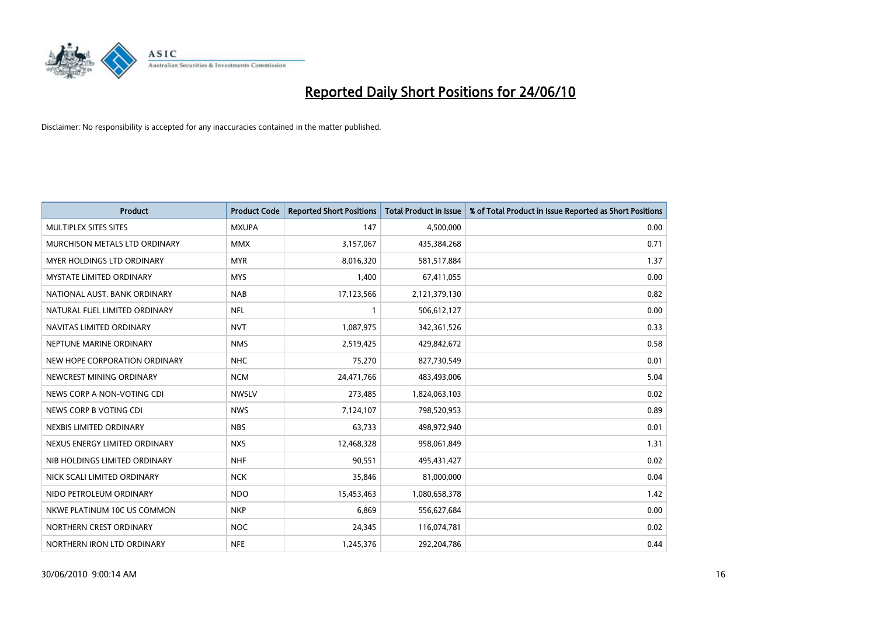

| <b>Product</b>                       | <b>Product Code</b> | <b>Reported Short Positions</b> | <b>Total Product in Issue</b> | % of Total Product in Issue Reported as Short Positions |
|--------------------------------------|---------------------|---------------------------------|-------------------------------|---------------------------------------------------------|
| MULTIPLEX SITES SITES                | <b>MXUPA</b>        | 147                             | 4,500,000                     | 0.00                                                    |
| <b>MURCHISON METALS LTD ORDINARY</b> | <b>MMX</b>          | 3,157,067                       | 435,384,268                   | 0.71                                                    |
| <b>MYER HOLDINGS LTD ORDINARY</b>    | <b>MYR</b>          | 8,016,320                       | 581,517,884                   | 1.37                                                    |
| <b>MYSTATE LIMITED ORDINARY</b>      | <b>MYS</b>          | 1,400                           | 67,411,055                    | 0.00                                                    |
| NATIONAL AUST. BANK ORDINARY         | <b>NAB</b>          | 17,123,566                      | 2,121,379,130                 | 0.82                                                    |
| NATURAL FUEL LIMITED ORDINARY        | <b>NFL</b>          |                                 | 506,612,127                   | 0.00                                                    |
| NAVITAS LIMITED ORDINARY             | <b>NVT</b>          | 1,087,975                       | 342,361,526                   | 0.33                                                    |
| NEPTUNE MARINE ORDINARY              | <b>NMS</b>          | 2,519,425                       | 429,842,672                   | 0.58                                                    |
| NEW HOPE CORPORATION ORDINARY        | <b>NHC</b>          | 75,270                          | 827,730,549                   | 0.01                                                    |
| NEWCREST MINING ORDINARY             | <b>NCM</b>          | 24,471,766                      | 483,493,006                   | 5.04                                                    |
| NEWS CORP A NON-VOTING CDI           | <b>NWSLV</b>        | 273,485                         | 1,824,063,103                 | 0.02                                                    |
| NEWS CORP B VOTING CDI               | <b>NWS</b>          | 7,124,107                       | 798,520,953                   | 0.89                                                    |
| NEXBIS LIMITED ORDINARY              | <b>NBS</b>          | 63,733                          | 498,972,940                   | 0.01                                                    |
| NEXUS ENERGY LIMITED ORDINARY        | <b>NXS</b>          | 12,468,328                      | 958,061,849                   | 1.31                                                    |
| NIB HOLDINGS LIMITED ORDINARY        | <b>NHF</b>          | 90,551                          | 495,431,427                   | 0.02                                                    |
| NICK SCALI LIMITED ORDINARY          | <b>NCK</b>          | 35,846                          | 81,000,000                    | 0.04                                                    |
| NIDO PETROLEUM ORDINARY              | <b>NDO</b>          | 15,453,463                      | 1,080,658,378                 | 1.42                                                    |
| NKWE PLATINUM 10C US COMMON          | <b>NKP</b>          | 6,869                           | 556,627,684                   | 0.00                                                    |
| NORTHERN CREST ORDINARY              | <b>NOC</b>          | 24,345                          | 116,074,781                   | 0.02                                                    |
| NORTHERN IRON LTD ORDINARY           | <b>NFE</b>          | 1,245,376                       | 292,204,786                   | 0.44                                                    |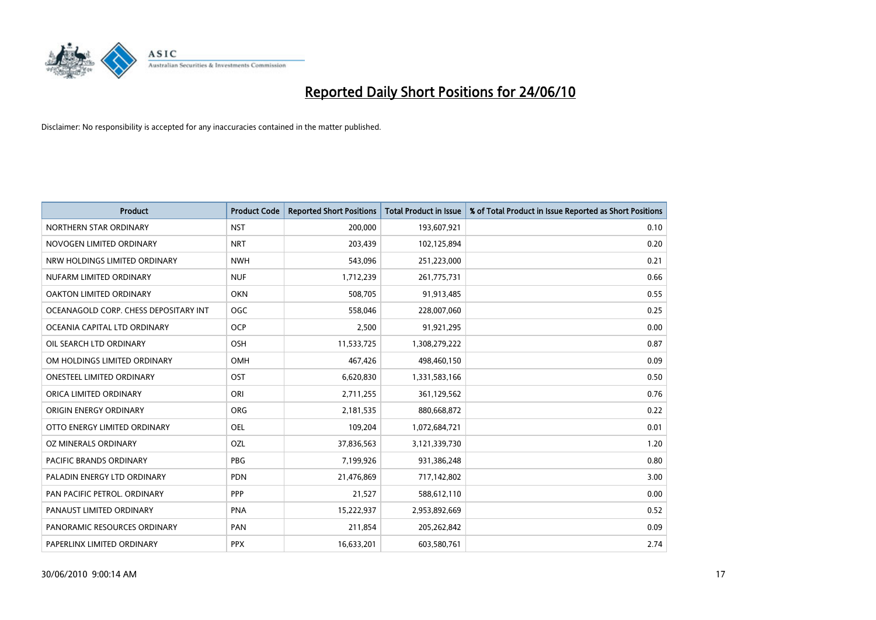

| <b>Product</b>                        | <b>Product Code</b> | <b>Reported Short Positions</b> | <b>Total Product in Issue</b> | % of Total Product in Issue Reported as Short Positions |
|---------------------------------------|---------------------|---------------------------------|-------------------------------|---------------------------------------------------------|
| NORTHERN STAR ORDINARY                | <b>NST</b>          | 200,000                         | 193,607,921                   | 0.10                                                    |
| NOVOGEN LIMITED ORDINARY              | <b>NRT</b>          | 203,439                         | 102,125,894                   | 0.20                                                    |
| NRW HOLDINGS LIMITED ORDINARY         | <b>NWH</b>          | 543,096                         | 251,223,000                   | 0.21                                                    |
| NUFARM LIMITED ORDINARY               | <b>NUF</b>          | 1,712,239                       | 261,775,731                   | 0.66                                                    |
| OAKTON LIMITED ORDINARY               | <b>OKN</b>          | 508,705                         | 91,913,485                    | 0.55                                                    |
| OCEANAGOLD CORP. CHESS DEPOSITARY INT | <b>OGC</b>          | 558,046                         | 228,007,060                   | 0.25                                                    |
| OCEANIA CAPITAL LTD ORDINARY          | <b>OCP</b>          | 2,500                           | 91,921,295                    | 0.00                                                    |
| OIL SEARCH LTD ORDINARY               | <b>OSH</b>          | 11,533,725                      | 1,308,279,222                 | 0.87                                                    |
| OM HOLDINGS LIMITED ORDINARY          | <b>OMH</b>          | 467,426                         | 498,460,150                   | 0.09                                                    |
| <b>ONESTEEL LIMITED ORDINARY</b>      | OST                 | 6,620,830                       | 1,331,583,166                 | 0.50                                                    |
| ORICA LIMITED ORDINARY                | ORI                 | 2,711,255                       | 361,129,562                   | 0.76                                                    |
| ORIGIN ENERGY ORDINARY                | <b>ORG</b>          | 2,181,535                       | 880,668,872                   | 0.22                                                    |
| OTTO ENERGY LIMITED ORDINARY          | <b>OEL</b>          | 109,204                         | 1,072,684,721                 | 0.01                                                    |
| OZ MINERALS ORDINARY                  | OZL                 | 37,836,563                      | 3,121,339,730                 | 1.20                                                    |
| <b>PACIFIC BRANDS ORDINARY</b>        | PBG                 | 7,199,926                       | 931,386,248                   | 0.80                                                    |
| PALADIN ENERGY LTD ORDINARY           | <b>PDN</b>          | 21,476,869                      | 717,142,802                   | 3.00                                                    |
| PAN PACIFIC PETROL. ORDINARY          | PPP                 | 21,527                          | 588,612,110                   | 0.00                                                    |
| PANAUST LIMITED ORDINARY              | <b>PNA</b>          | 15,222,937                      | 2,953,892,669                 | 0.52                                                    |
| PANORAMIC RESOURCES ORDINARY          | PAN                 | 211,854                         | 205,262,842                   | 0.09                                                    |
| PAPERLINX LIMITED ORDINARY            | <b>PPX</b>          | 16,633,201                      | 603,580,761                   | 2.74                                                    |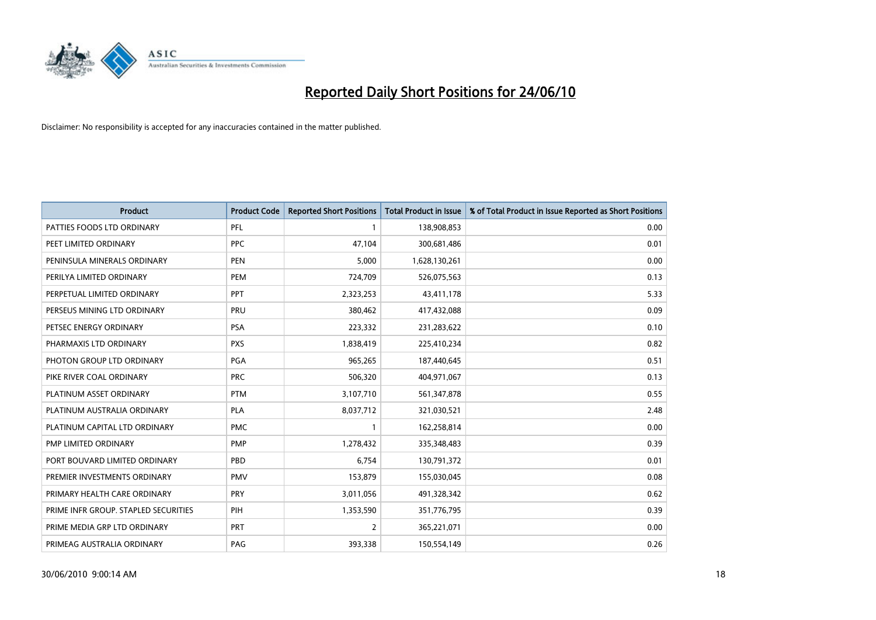

| <b>Product</b>                       | <b>Product Code</b> | <b>Reported Short Positions</b> | Total Product in Issue | % of Total Product in Issue Reported as Short Positions |
|--------------------------------------|---------------------|---------------------------------|------------------------|---------------------------------------------------------|
| PATTIES FOODS LTD ORDINARY           | PFL                 |                                 | 138,908,853            | 0.00                                                    |
| PEET LIMITED ORDINARY                | <b>PPC</b>          | 47,104                          | 300,681,486            | 0.01                                                    |
| PENINSULA MINERALS ORDINARY          | <b>PEN</b>          | 5,000                           | 1,628,130,261          | 0.00                                                    |
| PERILYA LIMITED ORDINARY             | PEM                 | 724,709                         | 526,075,563            | 0.13                                                    |
| PERPETUAL LIMITED ORDINARY           | <b>PPT</b>          | 2,323,253                       | 43,411,178             | 5.33                                                    |
| PERSEUS MINING LTD ORDINARY          | PRU                 | 380,462                         | 417,432,088            | 0.09                                                    |
| PETSEC ENERGY ORDINARY               | <b>PSA</b>          | 223,332                         | 231,283,622            | 0.10                                                    |
| PHARMAXIS LTD ORDINARY               | <b>PXS</b>          | 1,838,419                       | 225,410,234            | 0.82                                                    |
| PHOTON GROUP LTD ORDINARY            | <b>PGA</b>          | 965,265                         | 187,440,645            | 0.51                                                    |
| PIKE RIVER COAL ORDINARY             | <b>PRC</b>          | 506,320                         | 404,971,067            | 0.13                                                    |
| PLATINUM ASSET ORDINARY              | <b>PTM</b>          | 3,107,710                       | 561,347,878            | 0.55                                                    |
| PLATINUM AUSTRALIA ORDINARY          | <b>PLA</b>          | 8,037,712                       | 321,030,521            | 2.48                                                    |
| PLATINUM CAPITAL LTD ORDINARY        | <b>PMC</b>          |                                 | 162,258,814            | 0.00                                                    |
| PMP LIMITED ORDINARY                 | <b>PMP</b>          | 1,278,432                       | 335,348,483            | 0.39                                                    |
| PORT BOUVARD LIMITED ORDINARY        | PBD                 | 6,754                           | 130,791,372            | 0.01                                                    |
| PREMIER INVESTMENTS ORDINARY         | <b>PMV</b>          | 153,879                         | 155,030,045            | 0.08                                                    |
| PRIMARY HEALTH CARE ORDINARY         | <b>PRY</b>          | 3,011,056                       | 491,328,342            | 0.62                                                    |
| PRIME INFR GROUP. STAPLED SECURITIES | PIH                 | 1,353,590                       | 351,776,795            | 0.39                                                    |
| PRIME MEDIA GRP LTD ORDINARY         | <b>PRT</b>          | $\overline{2}$                  | 365,221,071            | 0.00                                                    |
| PRIMEAG AUSTRALIA ORDINARY           | PAG                 | 393,338                         | 150,554,149            | 0.26                                                    |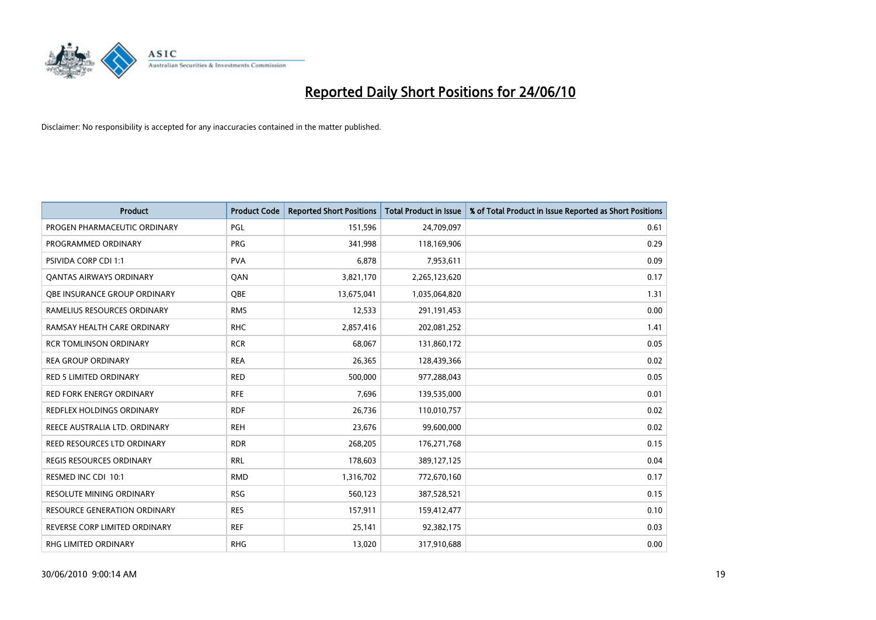

| <b>Product</b>                      | <b>Product Code</b> | <b>Reported Short Positions</b> | Total Product in Issue | % of Total Product in Issue Reported as Short Positions |
|-------------------------------------|---------------------|---------------------------------|------------------------|---------------------------------------------------------|
| PROGEN PHARMACEUTIC ORDINARY        | PGL                 | 151,596                         | 24,709,097             | 0.61                                                    |
| PROGRAMMED ORDINARY                 | <b>PRG</b>          | 341,998                         | 118,169,906            | 0.29                                                    |
| <b>PSIVIDA CORP CDI 1:1</b>         | <b>PVA</b>          | 6,878                           | 7,953,611              | 0.09                                                    |
| <b>QANTAS AIRWAYS ORDINARY</b>      | QAN                 | 3,821,170                       | 2,265,123,620          | 0.17                                                    |
| <b>QBE INSURANCE GROUP ORDINARY</b> | <b>OBE</b>          | 13,675,041                      | 1,035,064,820          | 1.31                                                    |
| RAMELIUS RESOURCES ORDINARY         | <b>RMS</b>          | 12,533                          | 291,191,453            | 0.00                                                    |
| RAMSAY HEALTH CARE ORDINARY         | <b>RHC</b>          | 2,857,416                       | 202,081,252            | 1.41                                                    |
| <b>RCR TOMLINSON ORDINARY</b>       | <b>RCR</b>          | 68,067                          | 131,860,172            | 0.05                                                    |
| <b>REA GROUP ORDINARY</b>           | <b>REA</b>          | 26,365                          | 128,439,366            | 0.02                                                    |
| <b>RED 5 LIMITED ORDINARY</b>       | <b>RED</b>          | 500,000                         | 977,288,043            | 0.05                                                    |
| RED FORK ENERGY ORDINARY            | <b>RFE</b>          | 7,696                           | 139,535,000            | 0.01                                                    |
| REDFLEX HOLDINGS ORDINARY           | <b>RDF</b>          | 26,736                          | 110,010,757            | 0.02                                                    |
| REECE AUSTRALIA LTD. ORDINARY       | <b>REH</b>          | 23,676                          | 99,600,000             | 0.02                                                    |
| REED RESOURCES LTD ORDINARY         | <b>RDR</b>          | 268,205                         | 176,271,768            | 0.15                                                    |
| <b>REGIS RESOURCES ORDINARY</b>     | <b>RRL</b>          | 178,603                         | 389,127,125            | 0.04                                                    |
| RESMED INC CDI 10:1                 | <b>RMD</b>          | 1,316,702                       | 772,670,160            | 0.17                                                    |
| RESOLUTE MINING ORDINARY            | <b>RSG</b>          | 560,123                         | 387,528,521            | 0.15                                                    |
| RESOURCE GENERATION ORDINARY        | <b>RES</b>          | 157,911                         | 159,412,477            | 0.10                                                    |
| REVERSE CORP LIMITED ORDINARY       | <b>REF</b>          | 25,141                          | 92,382,175             | 0.03                                                    |
| RHG LIMITED ORDINARY                | <b>RHG</b>          | 13,020                          | 317,910,688            | 0.00                                                    |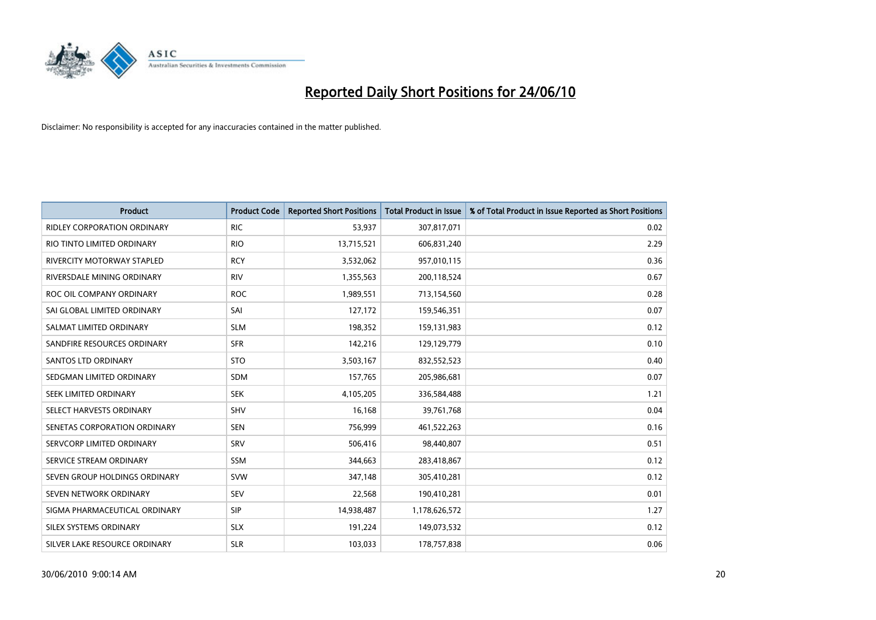

| <b>Product</b>                     | <b>Product Code</b> | <b>Reported Short Positions</b> | <b>Total Product in Issue</b> | % of Total Product in Issue Reported as Short Positions |
|------------------------------------|---------------------|---------------------------------|-------------------------------|---------------------------------------------------------|
| <b>RIDLEY CORPORATION ORDINARY</b> | <b>RIC</b>          | 53,937                          | 307,817,071                   | 0.02                                                    |
| RIO TINTO LIMITED ORDINARY         | <b>RIO</b>          | 13,715,521                      | 606,831,240                   | 2.29                                                    |
| <b>RIVERCITY MOTORWAY STAPLED</b>  | <b>RCY</b>          | 3,532,062                       | 957,010,115                   | 0.36                                                    |
| RIVERSDALE MINING ORDINARY         | <b>RIV</b>          | 1,355,563                       | 200,118,524                   | 0.67                                                    |
| ROC OIL COMPANY ORDINARY           | <b>ROC</b>          | 1,989,551                       | 713,154,560                   | 0.28                                                    |
| SAI GLOBAL LIMITED ORDINARY        | SAI                 | 127,172                         | 159,546,351                   | 0.07                                                    |
| SALMAT LIMITED ORDINARY            | <b>SLM</b>          | 198,352                         | 159,131,983                   | 0.12                                                    |
| SANDFIRE RESOURCES ORDINARY        | <b>SFR</b>          | 142,216                         | 129,129,779                   | 0.10                                                    |
| SANTOS LTD ORDINARY                | <b>STO</b>          | 3,503,167                       | 832,552,523                   | 0.40                                                    |
| SEDGMAN LIMITED ORDINARY           | <b>SDM</b>          | 157,765                         | 205,986,681                   | 0.07                                                    |
| SEEK LIMITED ORDINARY              | <b>SEK</b>          | 4,105,205                       | 336,584,488                   | 1.21                                                    |
| SELECT HARVESTS ORDINARY           | <b>SHV</b>          | 16,168                          | 39,761,768                    | 0.04                                                    |
| SENETAS CORPORATION ORDINARY       | <b>SEN</b>          | 756,999                         | 461,522,263                   | 0.16                                                    |
| SERVCORP LIMITED ORDINARY          | SRV                 | 506,416                         | 98,440,807                    | 0.51                                                    |
| SERVICE STREAM ORDINARY            | <b>SSM</b>          | 344,663                         | 283,418,867                   | 0.12                                                    |
| SEVEN GROUP HOLDINGS ORDINARY      | <b>SVW</b>          | 347,148                         | 305,410,281                   | 0.12                                                    |
| SEVEN NETWORK ORDINARY             | <b>SEV</b>          | 22,568                          | 190,410,281                   | 0.01                                                    |
| SIGMA PHARMACEUTICAL ORDINARY      | <b>SIP</b>          | 14,938,487                      | 1,178,626,572                 | 1.27                                                    |
| SILEX SYSTEMS ORDINARY             | <b>SLX</b>          | 191,224                         | 149,073,532                   | 0.12                                                    |
| SILVER LAKE RESOURCE ORDINARY      | <b>SLR</b>          | 103,033                         | 178,757,838                   | 0.06                                                    |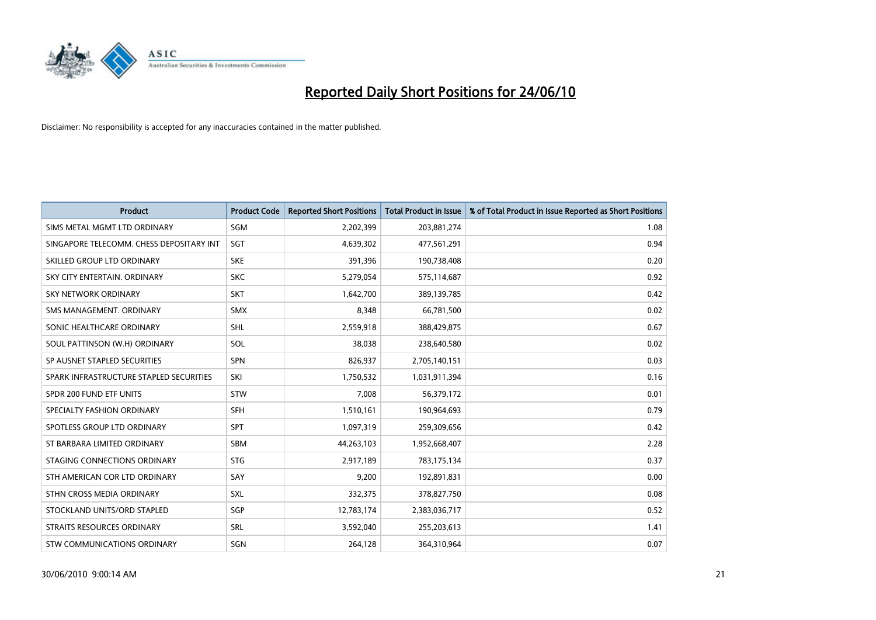

| <b>Product</b>                           | <b>Product Code</b> | <b>Reported Short Positions</b> | <b>Total Product in Issue</b> | % of Total Product in Issue Reported as Short Positions |
|------------------------------------------|---------------------|---------------------------------|-------------------------------|---------------------------------------------------------|
| SIMS METAL MGMT LTD ORDINARY             | SGM                 | 2,202,399                       | 203,881,274                   | 1.08                                                    |
| SINGAPORE TELECOMM. CHESS DEPOSITARY INT | SGT                 | 4,639,302                       | 477,561,291                   | 0.94                                                    |
| SKILLED GROUP LTD ORDINARY               | <b>SKE</b>          | 391,396                         | 190,738,408                   | 0.20                                                    |
| SKY CITY ENTERTAIN. ORDINARY             | <b>SKC</b>          | 5,279,054                       | 575,114,687                   | 0.92                                                    |
| <b>SKY NETWORK ORDINARY</b>              | <b>SKT</b>          | 1,642,700                       | 389,139,785                   | 0.42                                                    |
| SMS MANAGEMENT, ORDINARY                 | <b>SMX</b>          | 8,348                           | 66,781,500                    | 0.02                                                    |
| SONIC HEALTHCARE ORDINARY                | <b>SHL</b>          | 2,559,918                       | 388,429,875                   | 0.67                                                    |
| SOUL PATTINSON (W.H) ORDINARY            | SOL                 | 38,038                          | 238,640,580                   | 0.02                                                    |
| SP AUSNET STAPLED SECURITIES             | SPN                 | 826,937                         | 2,705,140,151                 | 0.03                                                    |
| SPARK INFRASTRUCTURE STAPLED SECURITIES  | SKI                 | 1,750,532                       | 1,031,911,394                 | 0.16                                                    |
| SPDR 200 FUND ETF UNITS                  | <b>STW</b>          | 7,008                           | 56,379,172                    | 0.01                                                    |
| SPECIALTY FASHION ORDINARY               | <b>SFH</b>          | 1,510,161                       | 190,964,693                   | 0.79                                                    |
| SPOTLESS GROUP LTD ORDINARY              | SPT                 | 1,097,319                       | 259,309,656                   | 0.42                                                    |
| ST BARBARA LIMITED ORDINARY              | <b>SBM</b>          | 44,263,103                      | 1,952,668,407                 | 2.28                                                    |
| STAGING CONNECTIONS ORDINARY             | <b>STG</b>          | 2,917,189                       | 783,175,134                   | 0.37                                                    |
| STH AMERICAN COR LTD ORDINARY            | SAY                 | 9,200                           | 192,891,831                   | 0.00                                                    |
| STHN CROSS MEDIA ORDINARY                | <b>SXL</b>          | 332,375                         | 378,827,750                   | 0.08                                                    |
| STOCKLAND UNITS/ORD STAPLED              | SGP                 | 12,783,174                      | 2,383,036,717                 | 0.52                                                    |
| <b>STRAITS RESOURCES ORDINARY</b>        | SRL                 | 3,592,040                       | 255,203,613                   | 1.41                                                    |
| STW COMMUNICATIONS ORDINARY              | SGN                 | 264,128                         | 364,310,964                   | 0.07                                                    |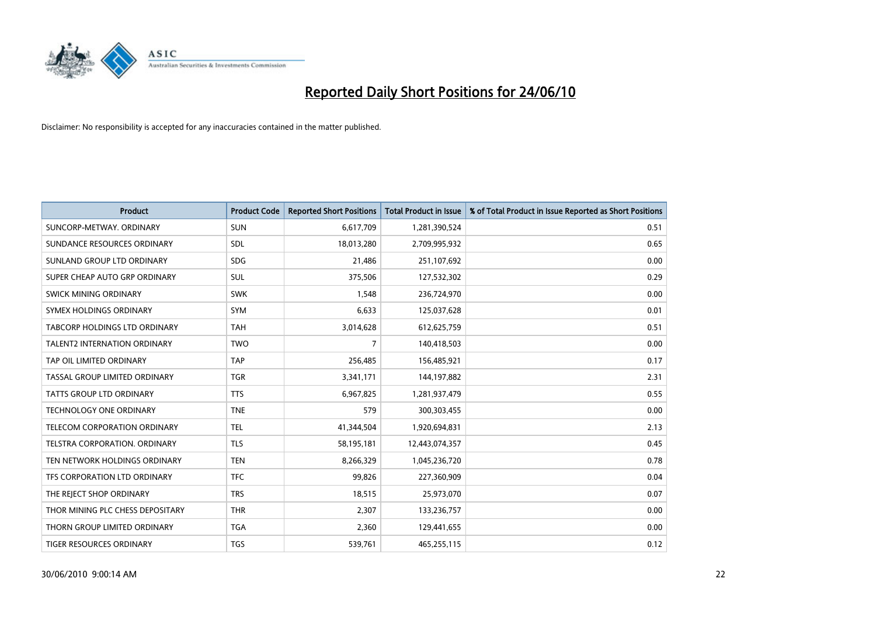

| <b>Product</b>                       | <b>Product Code</b> | <b>Reported Short Positions</b> | <b>Total Product in Issue</b> | % of Total Product in Issue Reported as Short Positions |
|--------------------------------------|---------------------|---------------------------------|-------------------------------|---------------------------------------------------------|
| SUNCORP-METWAY, ORDINARY             | <b>SUN</b>          | 6,617,709                       | 1,281,390,524                 | 0.51                                                    |
| SUNDANCE RESOURCES ORDINARY          | <b>SDL</b>          | 18,013,280                      | 2,709,995,932                 | 0.65                                                    |
| SUNLAND GROUP LTD ORDINARY           | <b>SDG</b>          | 21,486                          | 251,107,692                   | 0.00                                                    |
| SUPER CHEAP AUTO GRP ORDINARY        | SUL                 | 375,506                         | 127,532,302                   | 0.29                                                    |
| SWICK MINING ORDINARY                | <b>SWK</b>          | 1,548                           | 236,724,970                   | 0.00                                                    |
| SYMEX HOLDINGS ORDINARY              | SYM                 | 6,633                           | 125,037,628                   | 0.01                                                    |
| <b>TABCORP HOLDINGS LTD ORDINARY</b> | <b>TAH</b>          | 3,014,628                       | 612,625,759                   | 0.51                                                    |
| <b>TALENT2 INTERNATION ORDINARY</b>  | <b>TWO</b>          | $\overline{7}$                  | 140,418,503                   | 0.00                                                    |
| TAP OIL LIMITED ORDINARY             | <b>TAP</b>          | 256,485                         | 156,485,921                   | 0.17                                                    |
| TASSAL GROUP LIMITED ORDINARY        | <b>TGR</b>          | 3,341,171                       | 144,197,882                   | 2.31                                                    |
| <b>TATTS GROUP LTD ORDINARY</b>      | <b>TTS</b>          | 6,967,825                       | 1,281,937,479                 | 0.55                                                    |
| <b>TECHNOLOGY ONE ORDINARY</b>       | <b>TNE</b>          | 579                             | 300,303,455                   | 0.00                                                    |
| TELECOM CORPORATION ORDINARY         | <b>TEL</b>          | 41,344,504                      | 1,920,694,831                 | 2.13                                                    |
| TELSTRA CORPORATION, ORDINARY        | <b>TLS</b>          | 58,195,181                      | 12,443,074,357                | 0.45                                                    |
| TEN NETWORK HOLDINGS ORDINARY        | <b>TEN</b>          | 8,266,329                       | 1,045,236,720                 | 0.78                                                    |
| TFS CORPORATION LTD ORDINARY         | <b>TFC</b>          | 99,826                          | 227,360,909                   | 0.04                                                    |
| THE REJECT SHOP ORDINARY             | <b>TRS</b>          | 18,515                          | 25,973,070                    | 0.07                                                    |
| THOR MINING PLC CHESS DEPOSITARY     | <b>THR</b>          | 2,307                           | 133,236,757                   | 0.00                                                    |
| THORN GROUP LIMITED ORDINARY         | <b>TGA</b>          | 2,360                           | 129,441,655                   | 0.00                                                    |
| <b>TIGER RESOURCES ORDINARY</b>      | <b>TGS</b>          | 539,761                         | 465,255,115                   | 0.12                                                    |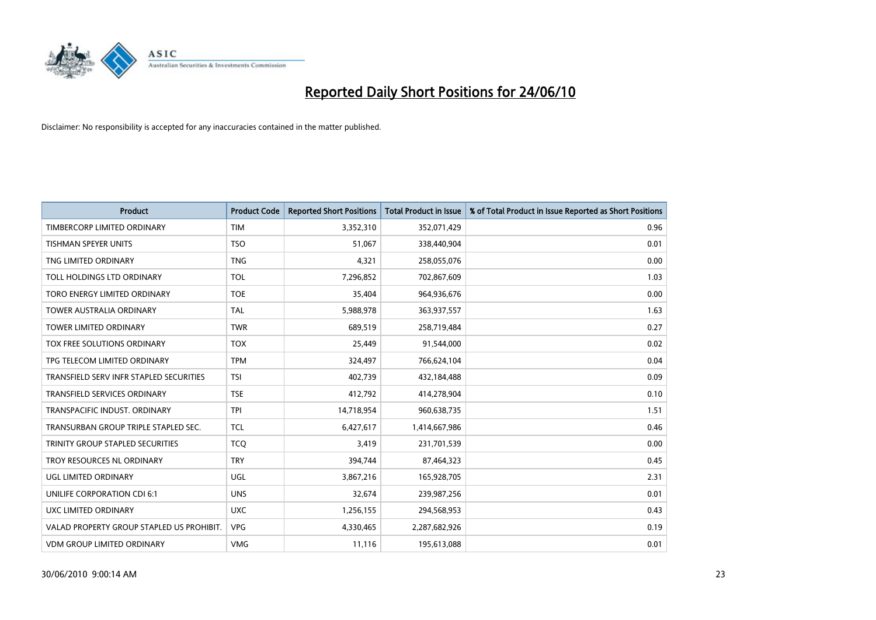

| <b>Product</b>                            | <b>Product Code</b> | <b>Reported Short Positions</b> | <b>Total Product in Issue</b> | % of Total Product in Issue Reported as Short Positions |
|-------------------------------------------|---------------------|---------------------------------|-------------------------------|---------------------------------------------------------|
| TIMBERCORP LIMITED ORDINARY               | <b>TIM</b>          | 3,352,310                       | 352,071,429                   | 0.96                                                    |
| TISHMAN SPEYER UNITS                      | <b>TSO</b>          | 51,067                          | 338,440,904                   | 0.01                                                    |
| TNG LIMITED ORDINARY                      | <b>TNG</b>          | 4,321                           | 258,055,076                   | 0.00                                                    |
| TOLL HOLDINGS LTD ORDINARY                | TOL                 | 7,296,852                       | 702,867,609                   | 1.03                                                    |
| TORO ENERGY LIMITED ORDINARY              | <b>TOE</b>          | 35,404                          | 964,936,676                   | 0.00                                                    |
| <b>TOWER AUSTRALIA ORDINARY</b>           | <b>TAL</b>          | 5,988,978                       | 363,937,557                   | 1.63                                                    |
| <b>TOWER LIMITED ORDINARY</b>             | <b>TWR</b>          | 689,519                         | 258,719,484                   | 0.27                                                    |
| TOX FREE SOLUTIONS ORDINARY               | <b>TOX</b>          | 25,449                          | 91,544,000                    | 0.02                                                    |
| TPG TELECOM LIMITED ORDINARY              | <b>TPM</b>          | 324,497                         | 766,624,104                   | 0.04                                                    |
| TRANSFIELD SERV INFR STAPLED SECURITIES   | <b>TSI</b>          | 402,739                         | 432,184,488                   | 0.09                                                    |
| <b>TRANSFIELD SERVICES ORDINARY</b>       | <b>TSE</b>          | 412,792                         | 414,278,904                   | 0.10                                                    |
| TRANSPACIFIC INDUST. ORDINARY             | <b>TPI</b>          | 14,718,954                      | 960,638,735                   | 1.51                                                    |
| TRANSURBAN GROUP TRIPLE STAPLED SEC.      | <b>TCL</b>          | 6,427,617                       | 1,414,667,986                 | 0.46                                                    |
| TRINITY GROUP STAPLED SECURITIES          | <b>TCO</b>          | 3,419                           | 231,701,539                   | 0.00                                                    |
| TROY RESOURCES NL ORDINARY                | <b>TRY</b>          | 394,744                         | 87,464,323                    | 0.45                                                    |
| UGL LIMITED ORDINARY                      | UGL                 | 3,867,216                       | 165,928,705                   | 2.31                                                    |
| UNILIFE CORPORATION CDI 6:1               | <b>UNS</b>          | 32,674                          | 239,987,256                   | 0.01                                                    |
| UXC LIMITED ORDINARY                      | <b>UXC</b>          | 1,256,155                       | 294,568,953                   | 0.43                                                    |
| VALAD PROPERTY GROUP STAPLED US PROHIBIT. | <b>VPG</b>          | 4,330,465                       | 2,287,682,926                 | 0.19                                                    |
| VDM GROUP LIMITED ORDINARY                | <b>VMG</b>          | 11,116                          | 195,613,088                   | 0.01                                                    |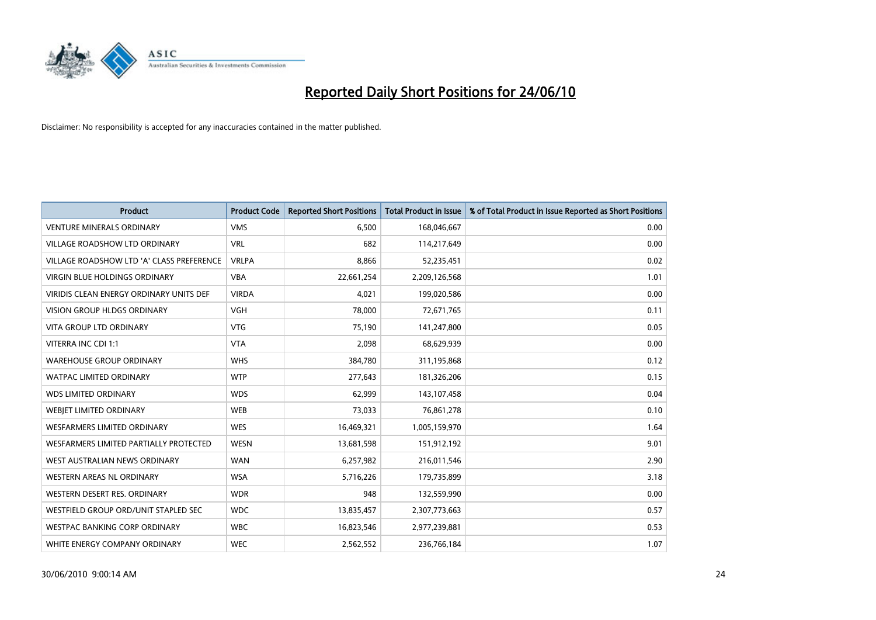

| <b>Product</b>                                 | <b>Product Code</b> | <b>Reported Short Positions</b> | <b>Total Product in Issue</b> | % of Total Product in Issue Reported as Short Positions |
|------------------------------------------------|---------------------|---------------------------------|-------------------------------|---------------------------------------------------------|
| <b>VENTURE MINERALS ORDINARY</b>               | <b>VMS</b>          | 6,500                           | 168,046,667                   | 0.00                                                    |
| VILLAGE ROADSHOW LTD ORDINARY                  | <b>VRL</b>          | 682                             | 114,217,649                   | 0.00                                                    |
| VILLAGE ROADSHOW LTD 'A' CLASS PREFERENCE      | <b>VRLPA</b>        | 8,866                           | 52,235,451                    | 0.02                                                    |
| VIRGIN BLUE HOLDINGS ORDINARY                  | <b>VBA</b>          | 22,661,254                      | 2,209,126,568                 | 1.01                                                    |
| <b>VIRIDIS CLEAN ENERGY ORDINARY UNITS DEF</b> | <b>VIRDA</b>        | 4,021                           | 199,020,586                   | 0.00                                                    |
| <b>VISION GROUP HLDGS ORDINARY</b>             | <b>VGH</b>          | 78,000                          | 72,671,765                    | 0.11                                                    |
| <b>VITA GROUP LTD ORDINARY</b>                 | <b>VTG</b>          | 75.190                          | 141,247,800                   | 0.05                                                    |
| VITERRA INC CDI 1:1                            | <b>VTA</b>          | 2,098                           | 68,629,939                    | 0.00                                                    |
| <b>WAREHOUSE GROUP ORDINARY</b>                | <b>WHS</b>          | 384,780                         | 311,195,868                   | 0.12                                                    |
| <b>WATPAC LIMITED ORDINARY</b>                 | <b>WTP</b>          | 277,643                         | 181,326,206                   | 0.15                                                    |
| <b>WDS LIMITED ORDINARY</b>                    | <b>WDS</b>          | 62,999                          | 143,107,458                   | 0.04                                                    |
| <b>WEBIET LIMITED ORDINARY</b>                 | <b>WEB</b>          | 73,033                          | 76,861,278                    | 0.10                                                    |
| <b>WESFARMERS LIMITED ORDINARY</b>             | <b>WES</b>          | 16,469,321                      | 1,005,159,970                 | 1.64                                                    |
| WESFARMERS LIMITED PARTIALLY PROTECTED         | <b>WESN</b>         | 13,681,598                      | 151,912,192                   | 9.01                                                    |
| WEST AUSTRALIAN NEWS ORDINARY                  | <b>WAN</b>          | 6,257,982                       | 216,011,546                   | 2.90                                                    |
| WESTERN AREAS NL ORDINARY                      | <b>WSA</b>          | 5,716,226                       | 179,735,899                   | 3.18                                                    |
| WESTERN DESERT RES. ORDINARY                   | <b>WDR</b>          | 948                             | 132,559,990                   | 0.00                                                    |
| WESTFIELD GROUP ORD/UNIT STAPLED SEC           | <b>WDC</b>          | 13,835,457                      | 2,307,773,663                 | 0.57                                                    |
| <b>WESTPAC BANKING CORP ORDINARY</b>           | <b>WBC</b>          | 16,823,546                      | 2,977,239,881                 | 0.53                                                    |
| WHITE ENERGY COMPANY ORDINARY                  | <b>WEC</b>          | 2,562,552                       | 236,766,184                   | 1.07                                                    |